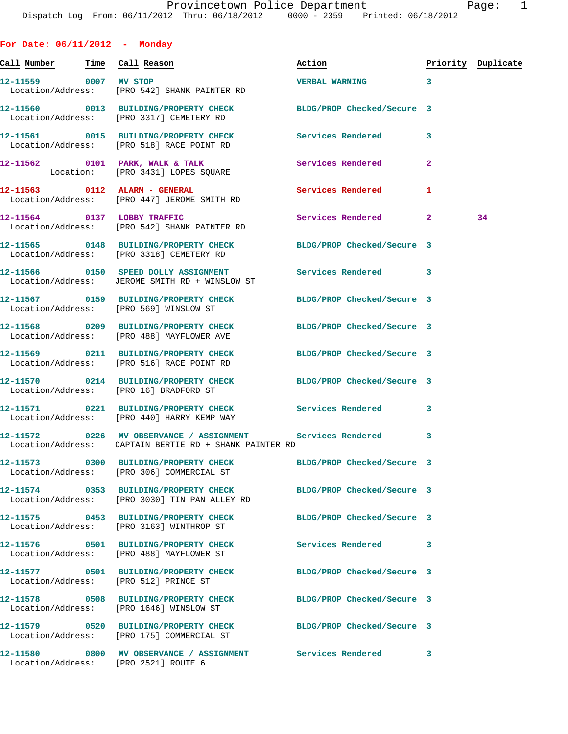**For Date: 06/11/2012 - Monday Call Number Time Call Reason Action Priority Duplicate 12-11559 0007 MV STOP VERBAL WARNING 3**  Location/Address: [PRO 542] SHANK PAINTER RD **12-11560 0013 BUILDING/PROPERTY CHECK BLDG/PROP Checked/Secure 3**  Location/Address: [PRO 3317] CEMETERY RD **12-11561 0015 BUILDING/PROPERTY CHECK Services Rendered 3**  Location/Address: [PRO 518] RACE POINT RD **12-11562 0101 PARK, WALK & TALK Services Rendered 2**  Location: [PRO 3431] LOPES SQUARE **12-11563 0112 ALARM - GENERAL Services Rendered 1**  Location/Address: [PRO 447] JEROME SMITH RD **12-11564 0137 LOBBY TRAFFIC Services Rendered 2 34**  Location/Address: [PRO 542] SHANK PAINTER RD **12-11565 0148 BUILDING/PROPERTY CHECK BLDG/PROP Checked/Secure 3**  Location/Address: [PRO 3318] CEMETERY RD **12-11566 0150 SPEED DOLLY ASSIGNMENT Services Rendered 3**  Location/Address: JEROME SMITH RD + WINSLOW ST **12-11567 0159 BUILDING/PROPERTY CHECK BLDG/PROP Checked/Secure 3**  Location/Address: [PRO 569] WINSLOW ST **12-11568 0209 BUILDING/PROPERTY CHECK BLDG/PROP Checked/Secure 3**  Location/Address: [PRO 488] MAYFLOWER AVE **12-11569 0211 BUILDING/PROPERTY CHECK BLDG/PROP Checked/Secure 3**  Location/Address: [PRO 516] RACE POINT RD **12-11570 0214 BUILDING/PROPERTY CHECK BLDG/PROP Checked/Secure 3**  Location/Address: [PRO 16] BRADFORD ST **12-11571 0221 BUILDING/PROPERTY CHECK Services Rendered 3**  Location/Address: [PRO 440] HARRY KEMP WAY **12-11572 0226 MV OBSERVANCE / ASSIGNMENT Services Rendered 3**  Location/Address: CAPTAIN BERTIE RD + SHANK PAINTER RD **12-11573 0300 BUILDING/PROPERTY CHECK BLDG/PROP Checked/Secure 3**  Location/Address: [PRO 306] COMMERCIAL ST **12-11574 0353 BUILDING/PROPERTY CHECK BLDG/PROP Checked/Secure 3**  Location/Address: [PRO 3030] TIN PAN ALLEY RD **12-11575 0453 BUILDING/PROPERTY CHECK BLDG/PROP Checked/Secure 3**  Location/Address: [PRO 3163] WINTHROP ST **12-11576 0501 BUILDING/PROPERTY CHECK Services Rendered 3**  Location/Address: [PRO 488] MAYFLOWER ST **12-11577 0501 BUILDING/PROPERTY CHECK BLDG/PROP Checked/Secure 3**  Location/Address: [PRO 512] PRINCE ST **12-11578 0508 BUILDING/PROPERTY CHECK BLDG/PROP Checked/Secure 3**  Location/Address: [PRO 1646] WINSLOW ST **12-11579 0520 BUILDING/PROPERTY CHECK BLDG/PROP Checked/Secure 3** 

Location/Address: [PRO 175] COMMERCIAL ST

**12-11580 0800 MV OBSERVANCE / ASSIGNMENT Services Rendered 3** 

Location/Address: [PRO 2521] ROUTE 6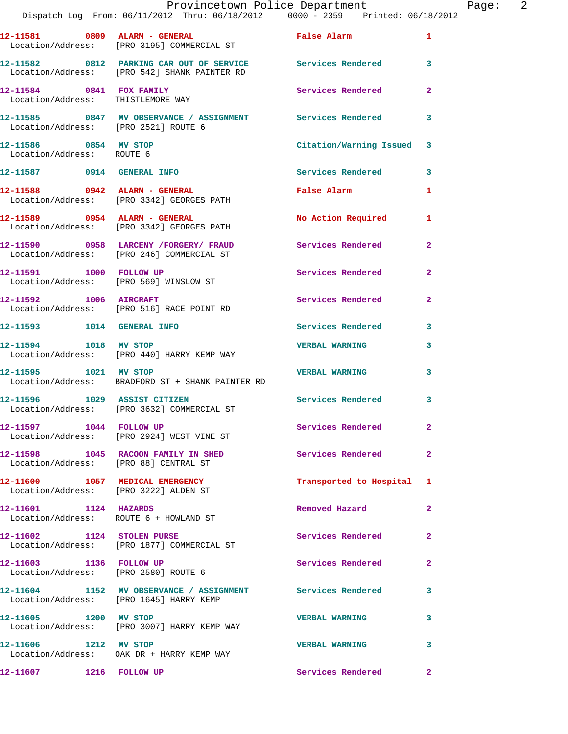|                                                                          | Provincetown Police Department                                                                        |                           | E                       |
|--------------------------------------------------------------------------|-------------------------------------------------------------------------------------------------------|---------------------------|-------------------------|
|                                                                          | 12-11581 0809 ALARM - GENERAL<br>Location/Address: [PRO 3195] COMMERCIAL ST                           | False Alarm               | 1                       |
|                                                                          |                                                                                                       |                           | 3                       |
| 12-11584 0841 FOX FAMILY<br>Location/Address: THISTLEMORE WAY            |                                                                                                       | <b>Services Rendered</b>  | $\overline{a}$          |
| Location/Address: [PRO 2521] ROUTE 6                                     | 12-11585 0847 MV OBSERVANCE / ASSIGNMENT Services Rendered                                            |                           | 3                       |
| 12-11586 0854 MV STOP<br>Location/Address: ROUTE 6                       |                                                                                                       | Citation/Warning Issued   | 3                       |
| 12-11587 0914 GENERAL INFO                                               |                                                                                                       | Services Rendered         | 3                       |
| 12-11588 0942 ALARM - GENERAL                                            | Location/Address: [PRO 3342] GEORGES PATH                                                             | False Alarm               | 1                       |
|                                                                          | 12-11589 0954 ALARM - GENERAL<br>Location/Address: [PRO 3342] GEORGES PATH                            | <b>No Action Required</b> | 1                       |
|                                                                          | 12-11590 0958 LARCENY /FORGERY / FRAUD Services Rendered<br>Location/Address: [PRO 246] COMMERCIAL ST |                           | $\overline{\mathbf{2}}$ |
| 12-11591 1000 FOLLOW UP                                                  | Location/Address: [PRO 569] WINSLOW ST                                                                | Services Rendered         | $\overline{a}$          |
|                                                                          | 12-11592 1006 AIRCRAFT<br>Location/Address: [PRO 516] RACE POINT RD                                   | <b>Services Rendered</b>  | 2                       |
| 12-11593 1014 GENERAL INFO                                               |                                                                                                       | Services Rendered         | 3                       |
| 12-11594 1018 MV STOP                                                    | Location/Address: [PRO 440] HARRY KEMP WAY                                                            | <b>VERBAL WARNING</b>     | 3                       |
| 12-11595 1021 MV STOP                                                    | Location/Address: BRADFORD ST + SHANK PAINTER RD                                                      | <b>VERBAL WARNING</b>     | 3                       |
| 12-11596 1029 ASSIST CITIZEN                                             | Location/Address: [PRO 3632] COMMERCIAL ST                                                            | <b>Services Rendered</b>  | 3                       |
|                                                                          | 12-11597 1044 FOLLOW UP<br>Location/Address: [PRO 2924] WEST VINE ST                                  | Services Rendered         | 2                       |
| Location/Address: [PRO 88] CENTRAL ST                                    | 12-11598 1045 RACOON FAMILY IN SHED                                                                   | Services Rendered         | 2                       |
| 12-11600 1057 MEDICAL EMERGENCY<br>Location/Address: [PRO 3222] ALDEN ST |                                                                                                       | Transported to Hospital   | 1                       |
| 12-11601 1124 HAZARDS<br>Location/Address: ROUTE 6 + HOWLAND ST          |                                                                                                       | Removed Hazard            | $\mathbf{2}$            |
| 12-11602 1124 STOLEN PURSE                                               | Location/Address: [PRO 1877] COMMERCIAL ST                                                            | Services Rendered         | 2                       |
| 12-11603 1136 FOLLOW UP<br>Location/Address: [PRO 2580] ROUTE 6          |                                                                                                       | Services Rendered         | 2                       |
|                                                                          | 12-11604 1152 MV OBSERVANCE / ASSIGNMENT Services Rendered<br>Location/Address: [PRO 1645] HARRY KEMP |                           | 3                       |
| 12-11605 1200 MV STOP                                                    | Location/Address: [PRO 3007] HARRY KEMP WAY                                                           | <b>VERBAL WARNING</b>     | 3                       |
| 12-11606 1212 MV STOP                                                    | Location/Address: OAK DR + HARRY KEMP WAY                                                             | <b>VERBAL WARNING</b>     | 3                       |
| 12-11607 1216 FOLLOW UP                                                  |                                                                                                       | Services Rendered         | $\mathbf{2}$            |

Page: 2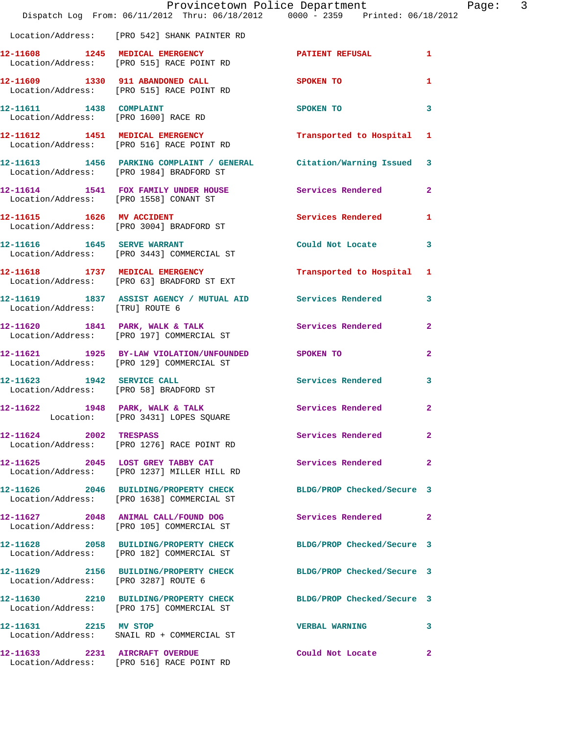|                                        | Dispatch Log From: 06/11/2012 Thru: 06/18/2012 0000 - 2359 Printed: 06/18/2012                                  | Provincetown Police Department   | Page: 3      |  |
|----------------------------------------|-----------------------------------------------------------------------------------------------------------------|----------------------------------|--------------|--|
|                                        | Location/Address: [PRO 542] SHANK PAINTER RD                                                                    |                                  |              |  |
|                                        | 12-11608 1245 MEDICAL EMERGENCY<br>Location/Address: [PRO 515] RACE POINT RD                                    | PATIENT REFUSAL 1                |              |  |
|                                        | 12-11609 1330 911 ABANDONED CALL<br>Location/Address: [PRO 515] RACE POINT RD                                   | SPOKEN TO AND TO A THE SPOKEN TO | $\mathbf{1}$ |  |
| 12-11611 1438 COMPLAINT                | Location/Address: [PRO 1600] RACE RD                                                                            | SPOKEN TO                        | 3            |  |
|                                        | 12-11612 1451 MEDICAL EMERGENCY<br>Location/Address: [PRO 516] RACE POINT RD                                    | Transported to Hospital 1        |              |  |
|                                        | 12-11613 1456 PARKING COMPLAINT / GENERAL Citation/Warning Issued 3<br>Location/Address: [PRO 1984] BRADFORD ST |                                  |              |  |
| Location/Address: [PRO 1558] CONANT ST | 12-11614 1541 FOX FAMILY UNDER HOUSE Services Rendered 2                                                        |                                  |              |  |
|                                        | 12-11615   1626 MV ACCIDENT<br>Location/Address: [PRO 3004] BRADFORD ST                                         | Services Rendered 1              |              |  |
|                                        | 12-11616   1645   SERVE WARRANT<br>Location/Address: [PRO 3443] COMMERCIAL ST                                   | Could Not Locate 3               |              |  |
|                                        | 12-11618 1737 MEDICAL EMERGENCY 12-11618 to Hospital 1<br>Location/Address: [PRO 63] BRADFORD ST EXT            |                                  |              |  |
| Location/Address: [TRU] ROUTE 6        | 12-11619 1837 ASSIST AGENCY / MUTUAL AID Services Rendered 3                                                    |                                  |              |  |
|                                        | 12-11620 1841 PARK, WALK & TALK<br>Location/Address: [PRO 197] COMMERCIAL ST                                    | Services Rendered 2              |              |  |
|                                        | 12-11621 1925 BY-LAW VIOLATION/UNFOUNDED SPOKEN TO<br>Location/Address: [PRO 129] COMMERCIAL ST                 |                                  | $\mathbf{2}$ |  |
| 12-11623   1942   SERVICE CALL         | Location/Address: [PRO 58] BRADFORD ST                                                                          | Services Rendered                | $\mathbf{3}$ |  |
|                                        | 12-11622 1948 PARK, WALK & TALK 6 Services Rendered 2<br>Location: [PRO 3431] LOPES SQUARE                      |                                  |              |  |
| 12-11624 2002 TRESPASS                 | Location/Address: [PRO 1276] RACE POINT RD                                                                      | Services Rendered                | $\mathbf{2}$ |  |
|                                        | 12-11625 2045 LOST GREY TABBY CAT<br>Location/Address: [PRO 1237] MILLER HILL RD                                | Services Rendered 2              |              |  |
|                                        | 12-11626 2046 BUILDING/PROPERTY CHECK BLDG/PROP Checked/Secure 3<br>Location/Address: [PRO 1638] COMMERCIAL ST  |                                  |              |  |
|                                        | 12-11627 2048 ANIMAL CALL/FOUND DOG<br>Location/Address: [PRO 105] COMMERCIAL ST                                | Services Rendered 2              |              |  |
|                                        | 12-11628 2058 BUILDING/PROPERTY CHECK BLDG/PROP Checked/Secure 3<br>Location/Address: [PRO 182] COMMERCIAL ST   |                                  |              |  |
| Location/Address: [PRO 3287] ROUTE 6   | 12-11629 2156 BUILDING/PROPERTY CHECK BLDG/PROP Checked/Secure 3                                                |                                  |              |  |
|                                        | 12-11630 2210 BUILDING/PROPERTY CHECK BLDG/PROP Checked/Secure 3<br>Location/Address: [PRO 175] COMMERCIAL ST   |                                  |              |  |
| 12-11631 2215 MV STOP                  | Location/Address: SNAIL RD + COMMERCIAL ST                                                                      | <b>VERBAL WARNING</b>            | 3            |  |
| 12-11633 2231 AIRCRAFT OVERDUE         | Location/Address: [PRO 516] RACE POINT RD                                                                       | Could Not Locate                 | $\mathbf{2}$ |  |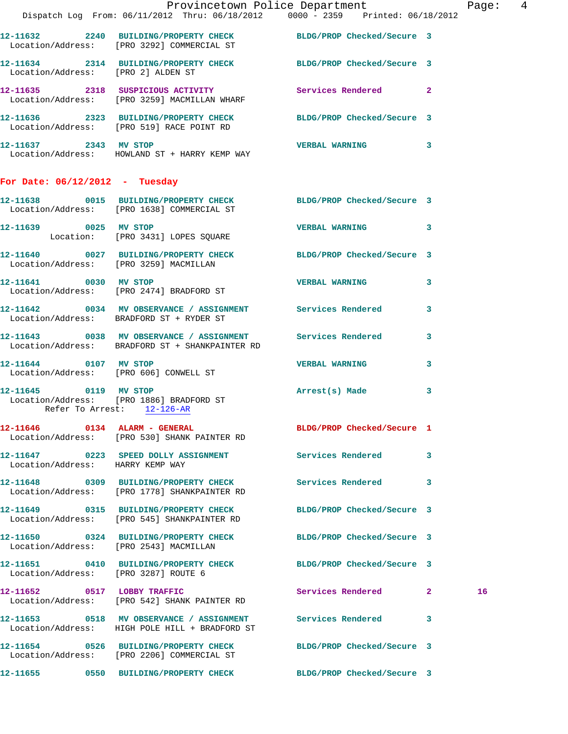|                                      |                                                                                                                | Provincetown Police Department                                                 | Page:  4 |
|--------------------------------------|----------------------------------------------------------------------------------------------------------------|--------------------------------------------------------------------------------|----------|
|                                      |                                                                                                                | Dispatch Log From: 06/11/2012 Thru: 06/18/2012 0000 - 2359 Printed: 06/18/2012 |          |
|                                      | 12-11632 2240 BUILDING/PROPERTY CHECK BLDG/PROP Checked/Secure 3<br>Location/Address: [PRO 3292] COMMERCIAL ST |                                                                                |          |
| Location/Address: [PRO 2] ALDEN ST   | 12-11634 2314 BUILDING/PROPERTY CHECK BLDG/PROP Checked/Secure 3                                               |                                                                                |          |
|                                      | 12-11635 2318 SUSPICIOUS ACTIVITY<br>Location/Address: [PRO 3259] MACMILLAN WHARF                              | Services Rendered 2                                                            |          |
|                                      | 12-11636 2323 BUILDING/PROPERTY CHECK BLDG/PROP Checked/Secure 3<br>Location/Address: [PRO 519] RACE POINT RD  |                                                                                |          |
| 12-11637 2343 MV STOP                | Location/Address: HOWLAND ST + HARRY KEMP WAY                                                                  | VERBAL WARNING 3                                                               |          |
| For Date: $06/12/2012$ - Tuesday     |                                                                                                                |                                                                                |          |
|                                      | 12-11638 0015 BUILDING/PROPERTY CHECK BLDG/PROP Checked/Secure 3<br>Location/Address: [PRO 1638] COMMERCIAL ST |                                                                                |          |
| 12-11639 0025 MV STOP                | Location: [PRO 3431] LOPES SQUARE                                                                              | VERBAL WARNING 3                                                               |          |
|                                      | 12-11640 0027 BUILDING/PROPERTY CHECK BLDG/PROP Checked/Secure 3<br>Location/Address: [PRO 3259] MACMILLAN     |                                                                                |          |
|                                      | 12-11641 0030 MV STOP<br>Location/Address: [PRO 2474] BRADFORD ST                                              | <b>VERBAL WARNING</b><br>$\mathbf{3}$                                          |          |
|                                      | 12-11642 0034 MV OBSERVANCE / ASSIGNMENT Services Rendered 3<br>Location/Address: BRADFORD ST + RYDER ST       |                                                                                |          |
|                                      | 12-11643 0038 MV OBSERVANCE / ASSIGNMENT Services Rendered<br>Location/Address: BRADFORD ST + SHANKPAINTER RD  | $\overline{\mathbf{3}}$                                                        |          |
| 12-11644 0107 MV STOP                | Location/Address: [PRO 606] CONWELL ST                                                                         | <b>VERBAL WARNING</b><br>3                                                     |          |
| Refer To Arrest: 12-126-AR           | 12-11645 0119 MV STOP<br>Location/Address: [PRO 1886] BRADFORD ST                                              | Arrest(s) Made<br>3                                                            |          |
|                                      | 12-11646 0134 ALARM - GENERAL<br>Location/Address: [PRO 530] SHANK PAINTER RD                                  | BLDG/PROP Checked/Secure 1                                                     |          |
| Location/Address: HARRY KEMP WAY     | 12-11647 0223 SPEED DOLLY ASSIGNMENT                                                                           | Services Rendered 3                                                            |          |
|                                      | 12-11648 0309 BUILDING/PROPERTY CHECK Services Rendered 3<br>Location/Address: [PRO 1778] SHANKPAINTER RD      |                                                                                |          |
|                                      | 12-11649 0315 BUILDING/PROPERTY CHECK<br>Location/Address: [PRO 545] SHANKPAINTER RD                           | BLDG/PROP Checked/Secure 3                                                     |          |
|                                      | 12-11650 0324 BUILDING/PROPERTY CHECK BLDG/PROP Checked/Secure 3<br>Location/Address: [PRO 2543] MACMILLAN     |                                                                                |          |
| Location/Address: [PRO 3287] ROUTE 6 | 12-11651 0410 BUILDING/PROPERTY CHECK BLDG/PROP Checked/Secure 3                                               |                                                                                |          |
| 12-11652 0517 LOBBY TRAFFIC          | Location/Address: [PRO 542] SHANK PAINTER RD                                                                   | Services Rendered 2                                                            | 16       |
|                                      | 12-11653 0518 MV OBSERVANCE / ASSIGNMENT<br>Location/Address: HIGH POLE HILL + BRADFORD ST                     | Services Rendered<br>-3                                                        |          |
|                                      | 12-11654 0526 BUILDING/PROPERTY CHECK BLDG/PROP Checked/Secure 3<br>Location/Address: [PRO 2206] COMMERCIAL ST |                                                                                |          |
|                                      | 12-11655 0550 BUILDING/PROPERTY CHECK                                                                          | BLDG/PROP Checked/Secure 3                                                     |          |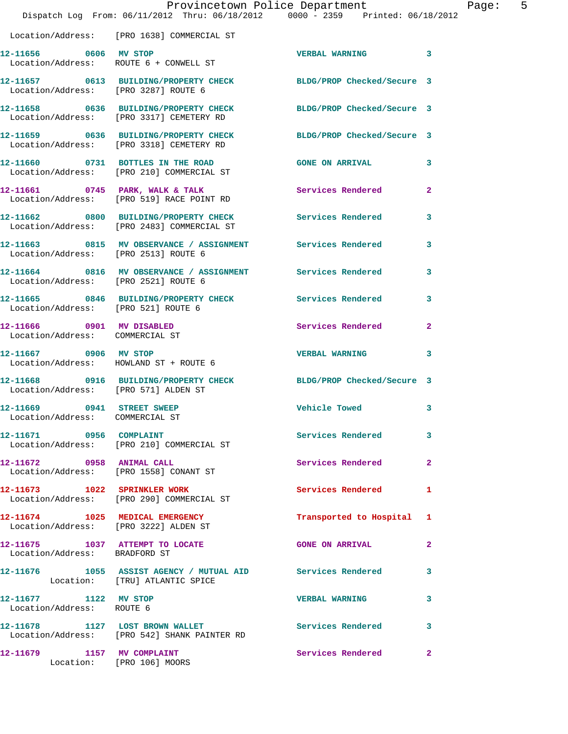|                                                                          | Provincetown Police Department<br>Dispatch Log From: 06/11/2012 Thru: 06/18/2012 0000 - 2359 Printed: 06/18/2012                   |                            |              |
|--------------------------------------------------------------------------|------------------------------------------------------------------------------------------------------------------------------------|----------------------------|--------------|
|                                                                          | Location/Address: [PRO 1638] COMMERCIAL ST                                                                                         |                            |              |
| 12-11656 0606 MV STOP                                                    | Location/Address: ROUTE 6 + CONWELL ST                                                                                             | <b>VERBAL WARNING</b>      | 3            |
| Location/Address: [PRO 3287] ROUTE 6                                     | 12-11657 0613 BUILDING/PROPERTY CHECK BLDG/PROP Checked/Secure 3                                                                   |                            |              |
|                                                                          | 12-11658 0636 BUILDING/PROPERTY CHECK<br>Location/Address: [PRO 3317] CEMETERY RD                                                  | BLDG/PROP Checked/Secure 3 |              |
|                                                                          | 12-11659 0636 BUILDING/PROPERTY CHECK BLDG/PROP Checked/Secure 3<br>Location/Address: [PRO 3318] CEMETERY RD                       |                            |              |
|                                                                          | 12-11660 0731 BOTTLES IN THE ROAD<br>Location/Address: [PRO 210] COMMERCIAL ST                                                     | <b>GONE ON ARRIVAL</b>     | 3            |
|                                                                          | 12-11661 0745 PARK, WALK & TALK<br>Location/Address: [PRO 519] RACE POINT RD                                                       | <b>Services Rendered</b>   | $\mathbf{2}$ |
|                                                                          | 12-11662 0800 BUILDING/PROPERTY CHECK Services Rendered<br>Location/Address: [PRO 2483] COMMERCIAL ST                              |                            | 3            |
|                                                                          | 12-11663 0815 MV OBSERVANCE / ASSIGNMENT Services Rendered<br>Location/Address: [PRO 2513] ROUTE 6                                 |                            | 3            |
| Location/Address: [PRO 2521] ROUTE 6                                     | 12-11664 0816 MV OBSERVANCE / ASSIGNMENT Services Rendered                                                                         |                            | 3            |
| Location/Address: [PRO 521] ROUTE 6                                      | 12-11665 0846 BUILDING/PROPERTY CHECK Services Rendered                                                                            |                            | 3            |
| 12-11666 0901 MV DISABLED<br>Location/Address: COMMERCIAL ST             |                                                                                                                                    | Services Rendered          | $\mathbf{2}$ |
| 12-11667 0906 MV STOP                                                    | Location/Address: HOWLAND ST + ROUTE 6                                                                                             | <b>VERBAL WARNING</b>      | 3            |
| Location/Address: [PRO 571] ALDEN ST                                     | 12-11668 0916 BUILDING/PROPERTY CHECK BLDG/PROP Checked/Secure 3                                                                   |                            |              |
| 12-11669 0941 STREET SWEEP<br>Location/Address: COMMERCIAL ST            |                                                                                                                                    | Vehicle Towed              | 3            |
| 12-11671 0956 COMPLAINT                                                  | Location/Address: [PRO 210] COMMERCIAL ST                                                                                          | Services Rendered          | 3            |
| 12-11672 0958 ANIMAL CALL                                                | Location/Address: [PRO 1558] CONANT ST                                                                                             | Services Rendered          | $\mathbf{2}$ |
|                                                                          | 12-11673 1022 SPRINKLER WORK<br>Location/Address: [PRO 290] COMMERCIAL ST                                                          | <b>Services Rendered</b>   | 1            |
| 12-11674 1025 MEDICAL EMERGENCY<br>Location/Address: [PRO 3222] ALDEN ST |                                                                                                                                    | Transported to Hospital    | 1            |
| 12-11675 1037 ATTEMPT TO LOCATE<br>Location/Address: BRADFORD ST         |                                                                                                                                    | <b>GONE ON ARRIVAL</b>     | $\mathbf{2}$ |
|                                                                          | 12-11676                1055    ASSIST AGENCY  /  MUTUAL  AID                 Services  Rendered<br>Location: [TRU] ATLANTIC SPICE |                            | 3            |
| 12-11677 1122 MV STOP<br>Location/Address: ROUTE 6                       |                                                                                                                                    | <b>VERBAL WARNING</b>      | 3            |
|                                                                          | 12-11678 1127 LOST BROWN WALLET<br>Location/Address: [PRO 542] SHANK PAINTER RD                                                    | <b>Services Rendered</b>   | 3            |
| 12-11679 1157 MV COMPLAINT                                               | Location: [PRO 106] MOORS                                                                                                          | <b>Services Rendered</b>   | 2            |

Page:  $5$ <br>2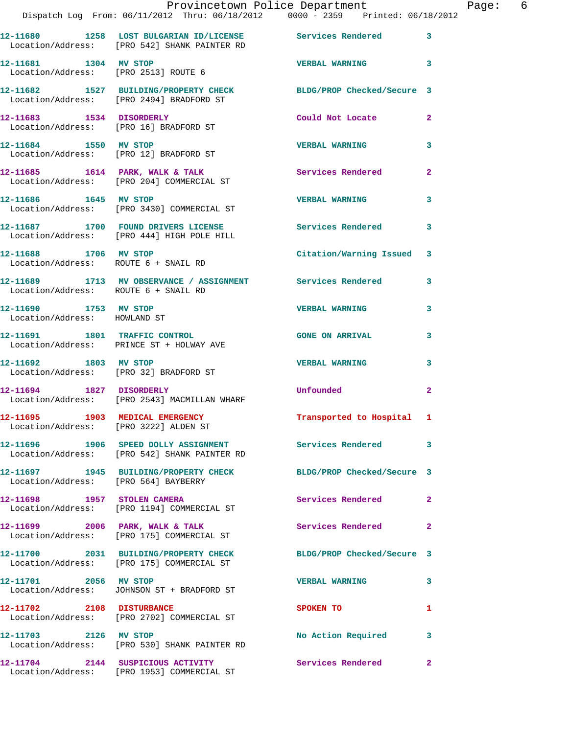|                                                                          | Provincetown Police Department The Page: 6<br>Dispatch Log From: 06/11/2012 Thru: 06/18/2012   0000 - 2359   Printed: 06/18/2012 |                            |              |
|--------------------------------------------------------------------------|----------------------------------------------------------------------------------------------------------------------------------|----------------------------|--------------|
|                                                                          | 12-11680 1258 LOST BULGARIAN ID/LICENSE Services Rendered 3<br>Location/Address: [PRO 542] SHANK PAINTER RD                      |                            |              |
| 12-11681 1304 MV STOP                                                    | Location/Address: [PRO 2513] ROUTE 6                                                                                             | <b>VERBAL WARNING</b> 3    |              |
|                                                                          | 12-11682 1527 BUILDING/PROPERTY CHECK BLDG/PROP Checked/Secure 3<br>Location/Address: [PRO 2494] BRADFORD ST                     |                            |              |
|                                                                          | 12-11683 1534 DISORDERLY<br>Location/Address: [PRO 16] BRADFORD ST                                                               | Could Not Locate           | $\mathbf{2}$ |
| 12-11684 1550 MV STOP                                                    | Location/Address: [PRO 12] BRADFORD ST                                                                                           | <b>VERBAL WARNING</b>      | 3            |
|                                                                          | 12-11685 1614 PARK, WALK & TALK 1988 Services Rendered<br>Location/Address: [PRO 204] COMMERCIAL ST                              |                            | $\mathbf{2}$ |
|                                                                          | 12-11686   1645   MV STOP<br>Location/Address: [PRO 3430] COMMERCIAL ST                                                          | <b>VERBAL WARNING</b>      | 3            |
|                                                                          | 12-11687 1700 FOUND DRIVERS LICENSE 10 Services Rendered<br>Location/Address: [PRO 444] HIGH POLE HILL                           |                            | 3            |
| 12-11688 1706 MV STOP                                                    | Location/Address: ROUTE 6 + SNAIL RD                                                                                             | Citation/Warning Issued 3  |              |
| Location/Address: ROUTE 6 + SNAIL RD                                     | 12-11689 1713 MV OBSERVANCE / ASSIGNMENT Services Rendered                                                                       |                            | 3            |
| 12-11690 1753 MV STOP<br>Location/Address: HOWLAND ST                    |                                                                                                                                  | <b>VERBAL WARNING</b>      | 3            |
|                                                                          | 12-11691 1801 TRAFFIC CONTROL<br>Location/Address: PRINCE ST + HOLWAY AVE                                                        | <b>GONE ON ARRIVAL</b>     | 3            |
| 12-11692 1803 MV STOP                                                    | Location/Address: [PRO 32] BRADFORD ST                                                                                           | <b>VERBAL WARNING</b>      | 3            |
|                                                                          | 12-11694 1827 DISORDERLY<br>Location/Address: [PRO 2543] MACMILLAN WHARF                                                         | <b>Unfounded</b>           | $\mathbf{2}$ |
| 12-11695 1903 MEDICAL EMERGENCY<br>Location/Address: [PRO 3222] ALDEN ST |                                                                                                                                  | Transported to Hospital 1  |              |
|                                                                          | 12-11696 1906 SPEED DOLLY ASSIGNMENT Services Rendered<br>Location/Address: [PRO 542] SHANK PAINTER RD                           |                            | 3            |
| Location/Address: [PRO 564] BAYBERRY                                     | 12-11697 1945 BUILDING/PROPERTY CHECK                                                                                            | BLDG/PROP Checked/Secure 3 |              |
|                                                                          | 12-11698 1957 STOLEN CAMERA<br>Location/Address: [PRO 1194] COMMERCIAL ST                                                        | <b>Services Rendered</b>   | $\mathbf{2}$ |
|                                                                          | 12-11699 2006 PARK, WALK & TALK<br>Location/Address: [PRO 175] COMMERCIAL ST                                                     | <b>Services Rendered</b>   | $\mathbf{2}$ |
|                                                                          | 12-11700 2031 BUILDING/PROPERTY CHECK<br>Location/Address: [PRO 175] COMMERCIAL ST                                               | BLDG/PROP Checked/Secure 3 |              |
| 12-11701 2056 MV STOP                                                    | Location/Address: JOHNSON ST + BRADFORD ST                                                                                       | <b>VERBAL WARNING</b>      | 3            |
|                                                                          | 12-11702 2108 DISTURBANCE<br>Location/Address: [PRO 2702] COMMERCIAL ST                                                          | <b>SPOKEN TO</b>           | 1            |
| 12-11703 2126 MV STOP                                                    | Location/Address: [PRO 530] SHANK PAINTER RD                                                                                     | No Action Required         | 3            |
|                                                                          | 12-11704 2144 SUSPICIOUS ACTIVITY<br>Location/Address: [PRO 1953] COMMERCIAL ST                                                  | Services Rendered          | 2            |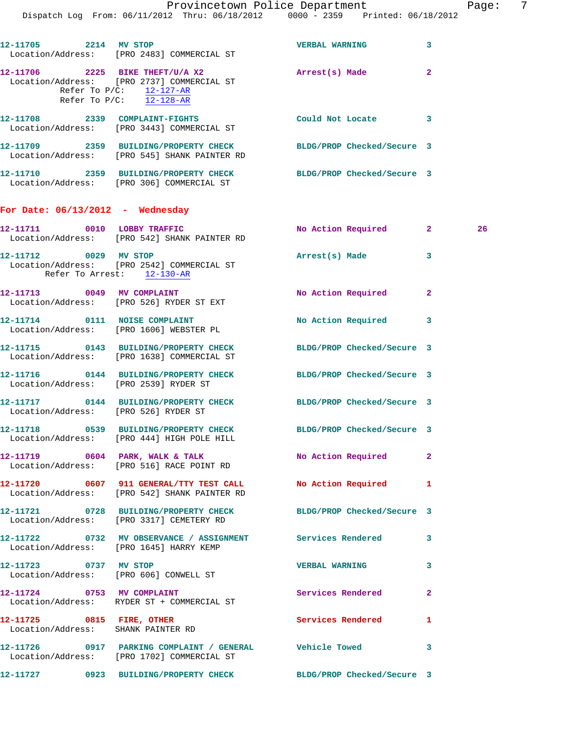Page:  $7$ 

|                                                                 |                                                                                     | Provincetown Police Department<br>Dispatch Log From: 06/11/2012 Thru: 06/18/2012 0000 - 2359 Printed: 06/18/2012 | Page           |
|-----------------------------------------------------------------|-------------------------------------------------------------------------------------|------------------------------------------------------------------------------------------------------------------|----------------|
| 12-11705 2214 MV STOP                                           | Location/Address: [PRO 2483] COMMERCIAL ST                                          | VERBAL WARNING                                                                                                   | 3              |
| Refer To P/C: $\frac{12-127-AR}{12-128-AR}$                     | 12-11706 2225 BIKE THEFT/U/A X2<br>Location/Address: [PRO 2737] COMMERCIAL ST       | Arrest(s) Made                                                                                                   | $\overline{2}$ |
|                                                                 | 12-11708 2339 COMPLAINT-FIGHTS<br>Location/Address: [PRO 3443] COMMERCIAL ST        | Could Not Locate 3                                                                                               |                |
|                                                                 |                                                                                     | 12-11709 2359 BUILDING/PROPERTY CHECK BLDG/PROP Checked/Secure 3<br>Location/Address: [PRO 545] SHANK PAINTER RD |                |
|                                                                 | Location/Address: [PRO 306] COMMERCIAL ST                                           | 12-11710 2359 BUILDING/PROPERTY CHECK BLDG/PROP Checked/Secure 3                                                 |                |
| For Date: $06/13/2012$ - Wednesday                              |                                                                                     |                                                                                                                  |                |
|                                                                 | 12-11711 0010 LOBBY TRAFFIC<br>Location/Address: [PRO 542] SHANK PAINTER RD         | No Action Required 2                                                                                             | 26             |
| 12-11712 0029 MV STOP<br>Refer To Arrest: 12-130-AR             | Location/Address: [PRO 2542] COMMERCIAL ST                                          | Arrest(s) Made                                                                                                   | 3              |
|                                                                 | 12-11713 0049 MV COMPLAINT<br>Location/Address: [PRO 526] RYDER ST EXT              | No Action Required                                                                                               | $\mathbf{2}$   |
|                                                                 | 12-11714 0111 NOISE COMPLAINT<br>Location/Address: [PRO 1606] WEBSTER PL            | No Action Required 3                                                                                             |                |
|                                                                 | 12-11715 0143 BUILDING/PROPERTY CHECK<br>Location/Address: [PRO 1638] COMMERCIAL ST | BLDG/PROP Checked/Secure 3                                                                                       |                |
| Location/Address: [PRO 2539] RYDER ST                           |                                                                                     | 12-11716 0144 BUILDING/PROPERTY CHECK BLDG/PROP Checked/Secure 3                                                 |                |
| Location/Address: [PRO 526] RYDER ST                            |                                                                                     | 12-11717 0144 BUILDING/PROPERTY CHECK BLDG/PROP Checked/Secure 3                                                 |                |
|                                                                 | Location/Address: [PRO 444] HIGH POLE HILL                                          | 12-11718 0539 BUILDING/PROPERTY CHECK BLDG/PROP Checked/Secure 3                                                 |                |
|                                                                 | 12-11719 0604 PARK, WALK & TALK<br>Location/Address: [PRO 516] RACE POINT RD        | No Action Required                                                                                               | 2              |
|                                                                 | Location/Address: [PRO 542] SHANK PAINTER RD                                        | 12-11720 0607 911 GENERAL/TTY TEST CALL No Action Required                                                       | 1              |
|                                                                 | Location/Address: [PRO 3317] CEMETERY RD                                            | 12-11721 0728 BUILDING/PROPERTY CHECK BLDG/PROP Checked/Secure 3                                                 |                |
|                                                                 | Location/Address: [PRO 1645] HARRY KEMP                                             | 12-11722 0732 MV OBSERVANCE / ASSIGNMENT Services Rendered                                                       | 3              |
| 12-11723 0737 MV STOP<br>Location/Address: [PRO 606] CONWELL ST |                                                                                     | <b>VERBAL WARNING</b>                                                                                            | 3              |
|                                                                 |                                                                                     |                                                                                                                  |                |

**12-11724 0753 MV COMPLAINT Services Rendered 2**  Location/Address: RYDER ST + COMMERCIAL ST **12-11725 0815 FIRE, OTHER Services Rendered 1**  Location/Address: SHANK PAINTER RD **12-11726 0917 PARKING COMPLAINT / GENERAL Vehicle Towed 3**  Location/Address: [PRO 1702] COMMERCIAL ST

**12-11727 0923 BUILDING/PROPERTY CHECK BLDG/PROP Checked/Secure 3**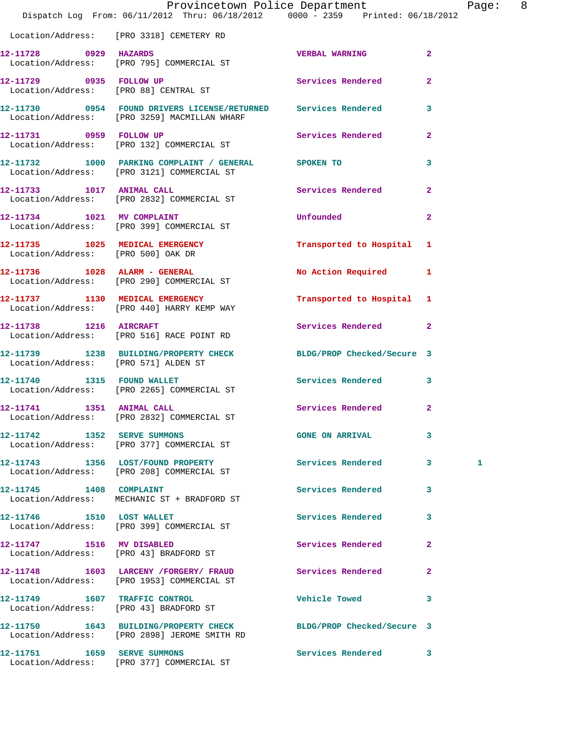|                                      | Dispatch Log From: 06/11/2012 Thru: 06/18/2012 0000 - 2359 Printed: 06/18/2012                                   | Provincetown Police Department |                | Page: 8 |  |
|--------------------------------------|------------------------------------------------------------------------------------------------------------------|--------------------------------|----------------|---------|--|
|                                      | Location/Address: [PRO 3318] CEMETERY RD                                                                         |                                |                |         |  |
| 12-11728 0929 HAZARDS                | Location/Address: [PRO 795] COMMERCIAL ST                                                                        | <b>VERBAL WARNING 2</b>        |                |         |  |
|                                      | 12-11729 0935 FOLLOW UP<br>Location/Address: [PRO 88] CENTRAL ST                                                 | Services Rendered              | $\overline{2}$ |         |  |
|                                      | 12-11730 0954 FOUND DRIVERS LICENSE/RETURNED Services Rendered 3<br>Location/Address: [PRO 3259] MACMILLAN WHARF |                                |                |         |  |
|                                      | 12-11731 0959 FOLLOW UP<br>Location/Address: [PRO 132] COMMERCIAL ST                                             | Services Rendered 2            |                |         |  |
|                                      | 12-11732 1000 PARKING COMPLAINT / GENERAL SPOKEN TO<br>Location/Address: [PRO 3121] COMMERCIAL ST                |                                | $\mathbf{3}$   |         |  |
|                                      | 12-11733 1017 ANIMAL CALL<br>Location/Address: [PRO 2832] COMMERCIAL ST                                          | Services Rendered 2            |                |         |  |
|                                      | 12-11734 1021 MV COMPLAINT<br>Location/Address: [PRO 399] COMMERCIAL ST                                          | <b>Unfounded</b>               | $\overline{2}$ |         |  |
| Location/Address: [PRO 500] OAK DR   | 12-11735 1025 MEDICAL EMERGENCY                                                                                  | Transported to Hospital 1      |                |         |  |
|                                      | Location/Address: [PRO 290] COMMERCIAL ST                                                                        | No Action Required 1           |                |         |  |
|                                      | 12-11737 1130 MEDICAL EMERGENCY<br>Location/Address: [PRO 440] HARRY KEMP WAY                                    | Transported to Hospital 1      |                |         |  |
|                                      | 12-11738 1216 AIRCRAFT<br>Location/Address: [PRO 516] RACE POINT RD                                              | Services Rendered 2            |                |         |  |
| Location/Address: [PRO 571] ALDEN ST | 12-11739 1238 BUILDING/PROPERTY CHECK BLDG/PROP Checked/Secure 3                                                 |                                |                |         |  |
|                                      | 12-11740 1315 FOUND WALLET<br>Location/Address: [PRO 2265] COMMERCIAL ST                                         | Services Rendered 3            |                |         |  |
| 12-11741 1351 ANIMAL CALL            | Location/Address: [PRO 2832] COMMERCIAL ST                                                                       | Services Rendered 2            |                |         |  |
|                                      | 12-11742 1352 SERVE SUMMONS<br>Location/Address: [PRO 377] COMMERCIAL ST                                         | <b>GONE ON ARRIVAL</b>         | $\mathbf{3}$   |         |  |
|                                      | 12-11743 1356 LOST/FOUND PROPERTY<br>Location/Address: [PRO 208] COMMERCIAL ST                                   | Services Rendered 3            |                | 1       |  |
| 12-11745   1408   COMPLAINT          | Location/Address: MECHANIC ST + BRADFORD ST                                                                      | Services Rendered              | 3              |         |  |
| 12-11746   1510   LOST WALLET        | Location/Address: [PRO 399] COMMERCIAL ST                                                                        | Services Rendered 3            |                |         |  |
|                                      | 12-11747 1516 MV DISABLED<br>Location/Address: [PRO 43] BRADFORD ST                                              | Services Rendered              | $\mathbf{2}$   |         |  |
|                                      | 12-11748 1603 LARCENY / FORGERY / FRAUD Services Rendered 2<br>Location/Address: [PRO 1953] COMMERCIAL ST        |                                |                |         |  |
|                                      | 12-11749 1607 TRAFFIC CONTROL<br>Location/Address: [PRO 43] BRADFORD ST                                          | <b>Vehicle Towed State</b>     | $\mathbf{3}$   |         |  |
|                                      | 12-11750 1643 BUILDING/PROPERTY CHECK BLDG/PROP Checked/Secure 3<br>Location/Address: [PRO 2898] JEROME SMITH RD |                                |                |         |  |
|                                      | 12-11751 1659 SERVE SUMMONS<br>Location/Address: [PRO 377] COMMERCIAL ST                                         | Services Rendered 3            |                |         |  |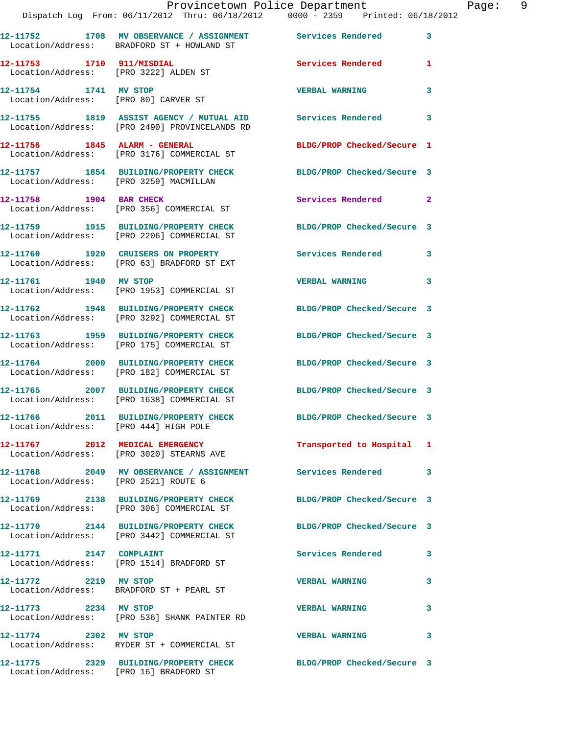|                                       | Dispatch Log From: 06/11/2012 Thru: 06/18/2012   0000 - 2359   Printed: 06/18/2012                             | Provincetown Police Department | Page: 9      |  |
|---------------------------------------|----------------------------------------------------------------------------------------------------------------|--------------------------------|--------------|--|
|                                       | 12-11752 1708 MV OBSERVANCE / ASSIGNMENT Services Rendered<br>Location/Address: BRADFORD ST + HOWLAND ST       |                                | $\mathbf{3}$ |  |
|                                       | 12-11753 1710 911/MISDIAL<br>Location/Address: [PRO 3222] ALDEN ST                                             | Services Rendered              | 1            |  |
| 12-11754 1741 MV STOP                 | Location/Address: [PRO 80] CARVER ST                                                                           | <b>VERBAL WARNING</b>          | 3            |  |
|                                       |                                                                                                                |                                | $\mathbf{3}$ |  |
|                                       | 12-11756 1845 ALARM - GENERAL<br>Location/Address: [PRO 3176] COMMERCIAL ST                                    | BLDG/PROP Checked/Secure 1     |              |  |
|                                       | 12-11757 1854 BUILDING/PROPERTY CHECK BLDG/PROP Checked/Secure 3<br>Location/Address: [PRO 3259] MACMILLAN     |                                |              |  |
|                                       | 12-11758 1904 BAR CHECK<br>Location/Address: [PRO 356] COMMERCIAL ST                                           | Services Rendered              | $\mathbf{2}$ |  |
|                                       | 12-11759 1915 BUILDING/PROPERTY CHECK BLDG/PROP Checked/Secure 3<br>Location/Address: [PRO 2206] COMMERCIAL ST |                                |              |  |
|                                       | 12-11760 1920 CRUISERS ON PROPERTY<br>Location/Address: [PRO 63] BRADFORD ST EXT                               | Services Rendered 3            |              |  |
|                                       | 12-11761 1940 MV STOP<br>Location/Address: [PRO 1953] COMMERCIAL ST                                            | <b>VERBAL WARNING</b>          | 3            |  |
|                                       | 12-11762 1948 BUILDING/PROPERTY CHECK BLDG/PROP Checked/Secure 3<br>Location/Address: [PRO 3292] COMMERCIAL ST |                                |              |  |
|                                       | 12-11763 1959 BUILDING/PROPERTY CHECK BLDG/PROP Checked/Secure 3<br>Location/Address: [PRO 175] COMMERCIAL ST  |                                |              |  |
|                                       | 12-11764 2000 BUILDING/PROPERTY CHECK BLDG/PROP Checked/Secure 3<br>Location/Address: [PRO 182] COMMERCIAL ST  |                                |              |  |
|                                       | 12-11765 2007 BUILDING/PROPERTY CHECK BLDG/PROP Checked/Secure 3<br>Location/Address: [PRO 1638] COMMERCIAL ST |                                |              |  |
| Location/Address: [PRO 444] HIGH POLE | 12-11766 2011 BUILDING/PROPERTY CHECK                                                                          | BLDG/PROP Checked/Secure 3     |              |  |
|                                       | 12-11767 2012 MEDICAL EMERGENCY<br>Location/Address: [PRO 3020] STEARNS AVE                                    | Transported to Hospital 1      |              |  |
| Location/Address: [PRO 2521] ROUTE 6  | 12-11768 2049 MV OBSERVANCE / ASSIGNMENT Services Rendered                                                     |                                | $\mathbf{3}$ |  |
|                                       | 12-11769 2138 BUILDING/PROPERTY CHECK BLDG/PROP Checked/Secure 3<br>Location/Address: [PRO 306] COMMERCIAL ST  |                                |              |  |
|                                       | 12-11770 2144 BUILDING/PROPERTY CHECK BLDG/PROP Checked/Secure 3<br>Location/Address: [PRO 3442] COMMERCIAL ST |                                |              |  |
|                                       | 12-11771 2147 COMPLAINT<br>Location/Address: [PRO 1514] BRADFORD ST                                            | Services Rendered              | 3            |  |
| 12-11772 2219 MV STOP                 | Location/Address: BRADFORD ST + PEARL ST                                                                       | <b>VERBAL WARNING</b>          | 3            |  |
|                                       | 12-11773 2234 MV STOP<br>Location/Address: [PRO 536] SHANK PAINTER RD                                          | <b>VERBAL WARNING</b>          | 3            |  |
| 12-11774 2302 MV STOP                 | Location/Address: RYDER ST + COMMERCIAL ST                                                                     | <b>VERBAL WARNING</b>          | 3            |  |
|                                       | 12-11775 2329 BUILDING/PROPERTY CHECK BLDG/PROP Checked/Secure 3                                               |                                |              |  |

Location/Address: [PRO 16] BRADFORD ST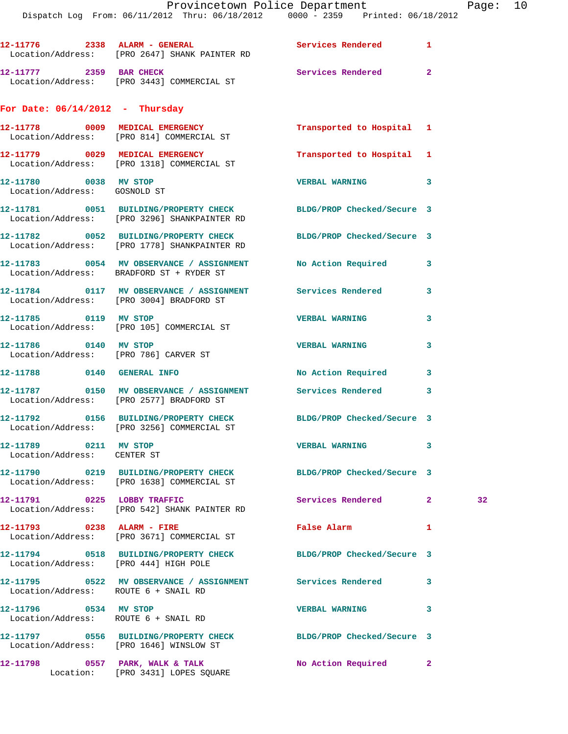|                                                       | 12-11776  2338  ALARM - GENERAL<br>Location/Address: [PRO 2647] SHANK PAINTER RD                                  | Services Rendered                  | 1 |    |
|-------------------------------------------------------|-------------------------------------------------------------------------------------------------------------------|------------------------------------|---|----|
| 12-11777 2359 BAR CHECK                               | Location/Address: [PRO 3443] COMMERCIAL ST                                                                        | Services Rendered 2                |   |    |
| For Date: $06/14/2012$ - Thursday                     |                                                                                                                   |                                    |   |    |
|                                                       | 12-11778 0009 MEDICAL EMERGENCY<br>Location/Address: [PRO 814] COMMERCIAL ST                                      | Transported to Hospital 1          |   |    |
|                                                       | 12-11779 0029 MEDICAL EMERGENCY<br>Location/Address: [PRO 1318] COMMERCIAL ST                                     | Transported to Hospital 1          |   |    |
| 12-11780 0038 MV STOP<br>Location/Address: GOSNOLD ST |                                                                                                                   | <b>VERBAL WARNING</b>              | 3 |    |
|                                                       | 12-11781 0051 BUILDING/PROPERTY CHECK BLDG/PROP Checked/Secure 3<br>Location/Address: [PRO 3296] SHANKPAINTER RD  |                                    |   |    |
|                                                       | 12-11782 0052 BUILDING/PROPERTY CHECK<br>Location/Address: [PRO 1778] SHANKPAINTER RD                             | BLDG/PROP Checked/Secure 3         |   |    |
|                                                       | 12-11783 0054 MV OBSERVANCE / ASSIGNMENT No Action Required<br>Location/Address: BRADFORD ST + RYDER ST           |                                    | 3 |    |
|                                                       | 12-11784 0117 MV OBSERVANCE / ASSIGNMENT Services Rendered<br>Location/Address: [PRO 3004] BRADFORD ST            |                                    | 3 |    |
|                                                       | 12-11785 0119 MV STOP<br>Location/Address: [PRO 105] COMMERCIAL ST                                                | <b>VERBAL WARNING</b>              | 3 |    |
| 12-11786 0140 MV STOP                                 | Location/Address: [PRO 786] CARVER ST                                                                             | <b>VERBAL WARNING</b>              | 3 |    |
| 12-11788 0140 GENERAL INFO                            |                                                                                                                   | No Action Required                 | 3 |    |
|                                                       | 12-11787 0150 MV OBSERVANCE / ASSIGNMENT Services Rendered<br>Location/Address: [PRO 2577] BRADFORD ST            |                                    | 3 |    |
|                                                       | 12-11792 0156 BUILDING/PROPERTY CHECK BLDG/PROP Checked/Secure 3<br>Location/Address: [PRO 3256] COMMERCIAL ST    |                                    |   |    |
| 12-11789 0211 MV STOP<br>Location/Address: CENTER ST  |                                                                                                                   | <b>VERBAL WARNING</b>              | 3 |    |
|                                                       | 12-11790 0219 BUILDING/PROPERTY CHECK BLDG/PROP Checked/Secure 3<br>Location/Address: [PRO 1638] COMMERCIAL ST    |                                    |   |    |
|                                                       | 12-11791 0225 LOBBY TRAFFIC<br>Location/Address: [PRO 542] SHANK PAINTER RD                                       | Services Rendered 2                |   | 32 |
| 12-11793 0238 ALARM - FIRE                            | Location/Address: [PRO 3671] COMMERCIAL ST                                                                        | False Alarm <b>Executive State</b> | 1 |    |
|                                                       | 12-11794   0518   BUILDING/PROPERTY CHECK   BLDG/PROP Checked/Secure   3<br>Location/Address: [PRO 444] HIGH POLE |                                    |   |    |
|                                                       | 12-11795 0522 MV OBSERVANCE / ASSIGNMENT Services Rendered<br>Location/Address: ROUTE 6 + SNAIL RD                |                                    | 3 |    |
| 12-11796 0534 MV STOP                                 | Location/Address: ROUTE 6 + SNAIL RD                                                                              | <b>VERBAL WARNING</b>              | 3 |    |
|                                                       | 12-11797 0556 BUILDING/PROPERTY CHECK BLDG/PROP Checked/Secure 3<br>Location/Address: [PRO 1646] WINSLOW ST       |                                    |   |    |
|                                                       | 12-11798 0557 PARK, WALK & TALK<br>Location: [PRO 3431] LOPES SQUARE                                              | No Action Required 2               |   |    |
|                                                       |                                                                                                                   |                                    |   |    |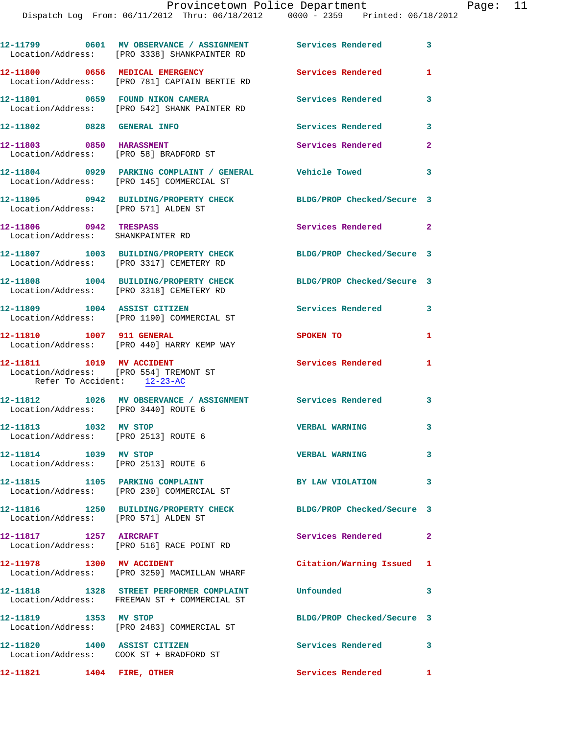Dispatch Log From: 06/11/2012 Thru: 06/18/2012 0000 - 2359 Printed: 06/18/2012

**12-11799 0601 MV OBSERVANCE / ASSIGNMENT Services Rendered 3**  Location/Address: [PRO 3338] SHANKPAINTER RD **12-11800 0656 MEDICAL EMERGENCY Services Rendered 1**  Location/Address: [PRO 781] CAPTAIN BERTIE RD **12-11801 0659 FOUND NIKON CAMERA Services Rendered 3**  Location/Address: [PRO 542] SHANK PAINTER RD **12-11802 0828 GENERAL INFO Services Rendered 3 12-11803 0850 HARASSMENT Services Rendered 2**  Location/Address: [PRO 58] BRADFORD ST **12-11804 0929 PARKING COMPLAINT / GENERAL Vehicle Towed 3**  Location/Address: [PRO 145] COMMERCIAL ST **12-11805 0942 BUILDING/PROPERTY CHECK BLDG/PROP Checked/Secure 3**  Location/Address: [PRO 571] ALDEN ST **12-11806 0942 TRESPASS Services Rendered 2**  Location/Address: SHANKPAINTER RD **12-11807 1003 BUILDING/PROPERTY CHECK BLDG/PROP Checked/Secure 3**  Location/Address: [PRO 3317] CEMETERY RD **12-11808 1004 BUILDING/PROPERTY CHECK BLDG/PROP Checked/Secure 3**  Location/Address: [PRO 3318] CEMETERY RD **12-11809 1004 ASSIST CITIZEN Services Rendered 3**  Location/Address: [PRO 1190] COMMERCIAL ST **12-11810 1007 911 GENERAL SPOKEN TO 1**  Location/Address: [PRO 440] HARRY KEMP WAY **12-11811 1019 MV ACCIDENT Services Rendered 1**  Location/Address: [PRO 554] TREMONT ST Refer To Accident: 12-23-AC **12-11812 1026 MV OBSERVANCE / ASSIGNMENT Services Rendered 3**  Location/Address: [PRO 3440] ROUTE 6 **12-11813 1032 MV STOP VERBAL WARNING 3**  Location/Address: [PRO 2513] ROUTE 6 **12-11814 1039 MV STOP VERBAL WARNING 3**  Location/Address: [PRO 2513] ROUTE 6 **12-11815 1105 PARKING COMPLAINT BY LAW VIOLATION 3**  Location/Address: [PRO 230] COMMERCIAL ST **12-11816 1250 BUILDING/PROPERTY CHECK BLDG/PROP Checked/Secure 3**  Location/Address: [PRO 571] ALDEN ST **12-11817 1257 AIRCRAFT Services Rendered 2**  Location/Address: [PRO 516] RACE POINT RD **12-11978 1300 MV ACCIDENT Citation/Warning Issued 1**  Location/Address: [PRO 3259] MACMILLAN WHARF **12-11818 1328 STREET PERFORMER COMPLAINT Unfounded 3**  Location/Address: FREEMAN ST + COMMERCIAL ST **12-11819 1353 MV STOP BLDG/PROP Checked/Secure 3**  Location/Address: [PRO 2483] COMMERCIAL ST **12-11820 1400 ASSIST CITIZEN Services Rendered 3**  Location/Address: COOK ST + BRADFORD ST

**12-11821 1404 FIRE, OTHER Services Rendered 1**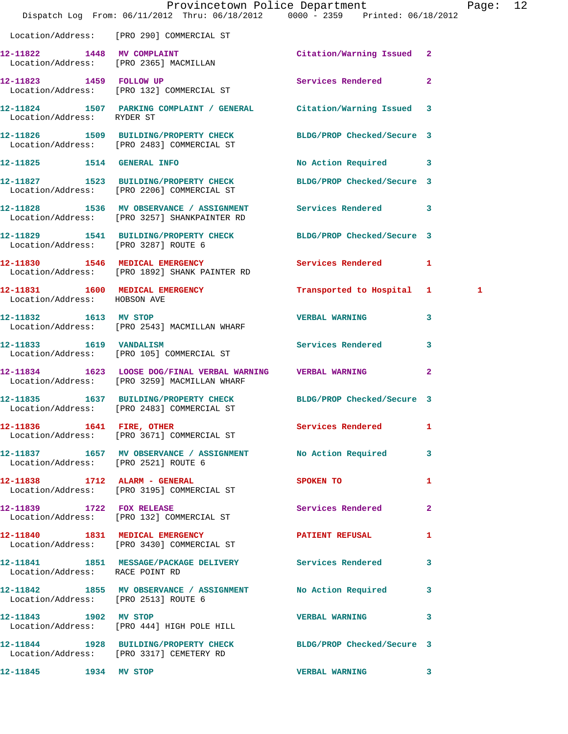|                                      | Dispatch Log From: 06/11/2012 Thru: 06/18/2012 0000 - 2359 Printed: 06/18/2012                                 | Provincetown Police Department |              | Page: | 12 |
|--------------------------------------|----------------------------------------------------------------------------------------------------------------|--------------------------------|--------------|-------|----|
|                                      | Location/Address: [PRO 290] COMMERCIAL ST                                                                      |                                |              |       |    |
|                                      | 12-11822 1448 MV COMPLAINT<br>Location/Address: [PRO 2365] MACMILLAN                                           | Citation/Warning Issued 2      |              |       |    |
|                                      | 12-11823 1459 FOLLOW UP<br>Location/Address: [PRO 132] COMMERCIAL ST                                           | Services Rendered              | $\mathbf{2}$ |       |    |
| Location/Address: RYDER ST           | 12-11824 1507 PARKING COMPLAINT / GENERAL Citation/Warning Issued 3                                            |                                |              |       |    |
|                                      | 12-11826 1509 BUILDING/PROPERTY CHECK<br>Location/Address: [PRO 2483] COMMERCIAL ST                            | BLDG/PROP Checked/Secure 3     |              |       |    |
| 12-11825   1514   GENERAL INFO       |                                                                                                                | No Action Required 3           |              |       |    |
|                                      | 12-11827 1523 BUILDING/PROPERTY CHECK<br>Location/Address: [PRO 2206] COMMERCIAL ST                            | BLDG/PROP Checked/Secure 3     |              |       |    |
|                                      | 12-11828 1536 MV OBSERVANCE / ASSIGNMENT Services Rendered 3<br>Location/Address: [PRO 3257] SHANKPAINTER RD   |                                |              |       |    |
| Location/Address: [PRO 3287] ROUTE 6 | 12-11829 1541 BUILDING/PROPERTY CHECK BLDG/PROP Checked/Secure 3                                               |                                |              |       |    |
|                                      | 12-11830 1546 MEDICAL EMERGENCY<br>Location/Address: [PRO 1892] SHANK PAINTER RD                               | Services Rendered 1            |              |       |    |
| Location/Address: HOBSON AVE         | 12-11831 1600 MEDICAL EMERGENCY                                                                                | Transported to Hospital 1      |              | 1     |    |
| 12-11832 1613 MV STOP                | Location/Address: [PRO 2543] MACMILLAN WHARF                                                                   | <b>VERBAL WARNING</b>          | $\mathbf{3}$ |       |    |
| 12-11833 1619 VANDALISM              | Location/Address: [PRO 105] COMMERCIAL ST                                                                      | Services Rendered              | 3            |       |    |
|                                      | 12-11834 1623 LOOSE DOG/FINAL VERBAL WARNING VERBAL WARNING<br>Location/Address: [PRO 3259] MACMILLAN WHARF    |                                | $\mathbf{2}$ |       |    |
|                                      | 12-11835 1637 BUILDING/PROPERTY CHECK BLDG/PROP Checked/Secure 3<br>Location/Address: [PRO 2483] COMMERCIAL ST |                                |              |       |    |
|                                      | 12-11836   1641   FIRE, OTHER<br>Location/Address: [PRO 3671] COMMERCIAL ST                                    | Services Rendered 1            |              |       |    |
|                                      | 12-11837 1657 MV OBSERVANCE / ASSIGNMENT No Action Required 3<br>Location/Address: [PRO 2521] ROUTE 6          |                                |              |       |    |
|                                      | 12-11838 1712 ALARM - GENERAL<br>Location/Address: [PRO 3195] COMMERCIAL ST                                    | SPOKEN TO                      | $\mathbf{1}$ |       |    |
|                                      | 12-11839 1722 FOX RELEASE<br>Location/Address: [PRO 132] COMMERCIAL ST                                         | Services Rendered 2            |              |       |    |
|                                      | 12-11840 1831 MEDICAL EMERGENCY<br>Location/Address: [PRO 3430] COMMERCIAL ST                                  | PATIENT REFUSAL 1              |              |       |    |
| Location/Address: RACE POINT RD      | 12-11841 1851 MESSAGE/PACKAGE DELIVERY Services Rendered 3                                                     |                                |              |       |    |
| Location/Address: [PRO 2513] ROUTE 6 | 12-11842 1855 MV OBSERVANCE / ASSIGNMENT No Action Required 3                                                  |                                |              |       |    |
|                                      | 12-11843 1902 MV STOP<br>Location/Address: [PRO 444] HIGH POLE HILL                                            | VERBAL WARNING 3               |              |       |    |
|                                      | 12-11844 1928 BUILDING/PROPERTY CHECK BLDG/PROP Checked/Secure 3<br>Location/Address: [PRO 3317] CEMETERY RD   |                                |              |       |    |
| 12-11845   1934 MV STOP              |                                                                                                                | <b>VERBAL WARNING 3</b>        |              |       |    |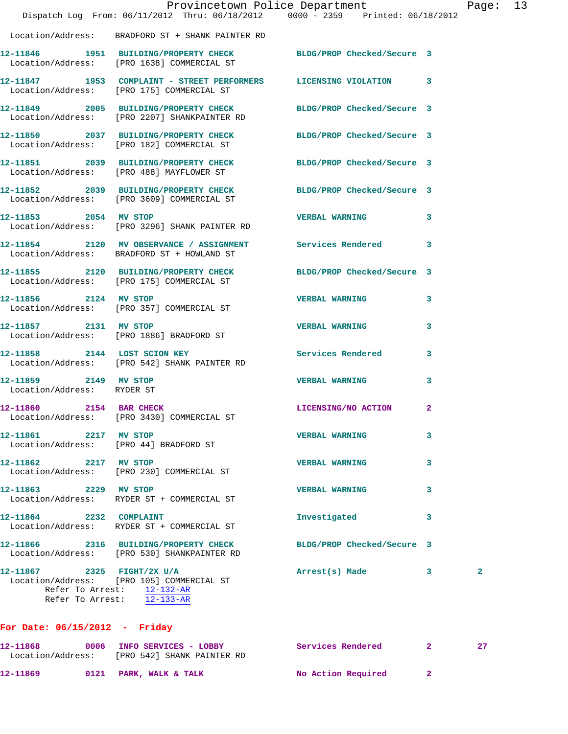|                                                     | Dispatch Log From: 06/11/2012 Thru: 06/18/2012 0000 - 2359 Printed: 06/18/2012                                            | Provincetown Police Department | Page: 13     |
|-----------------------------------------------------|---------------------------------------------------------------------------------------------------------------------------|--------------------------------|--------------|
|                                                     | Location/Address: BRADFORD ST + SHANK PAINTER RD                                                                          |                                |              |
|                                                     | 12-11846 1951 BUILDING/PROPERTY CHECK BLDG/PROP Checked/Secure 3<br>Location/Address: [PRO 1638] COMMERCIAL ST            |                                |              |
|                                                     | 12-11847 1953 COMPLAINT - STREET PERFORMERS LICENSING VIOLATION 3<br>Location/Address: [PRO 175] COMMERCIAL ST            |                                |              |
|                                                     | 12-11849 2005 BUILDING/PROPERTY CHECK BLDG/PROP Checked/Secure 3<br>Location/Address: [PRO 2207] SHANKPAINTER RD          |                                |              |
|                                                     | 12-11850 2037 BUILDING/PROPERTY CHECK BLDG/PROP Checked/Secure 3<br>Location/Address: [PRO 182] COMMERCIAL ST             |                                |              |
|                                                     | 12-11851  2039  BUILDING/PROPERTY CHECK BLDG/PROP Checked/Secure 3<br>Location/Address: [PRO 488] MAYFLOWER ST            |                                |              |
|                                                     | 12-11852 2039 BUILDING/PROPERTY CHECK BLDG/PROP Checked/Secure 3<br>Location/Address: [PRO 3609] COMMERCIAL ST            |                                |              |
| 12-11853 2054 MV STOP                               | Location/Address: [PRO 3296] SHANK PAINTER RD                                                                             | <b>VERBAL WARNING</b>          | 3            |
|                                                     | 12-11854 2120 MV OBSERVANCE / ASSIGNMENT Services Rendered 3<br>Location/Address: BRADFORD ST + HOWLAND ST                |                                |              |
|                                                     | 12-11855 2120 BUILDING/PROPERTY CHECK<br>Location/Address: [PRO 175] COMMERCIAL ST                                        | BLDG/PROP Checked/Secure 3     |              |
| 12-11856 2124 MV STOP                               | Location/Address: [PRO 357] COMMERCIAL ST                                                                                 | <b>VERBAL WARNING</b>          | $\mathbf{3}$ |
| 12-11857 2131 MV STOP                               | Location/Address: [PRO 1886] BRADFORD ST                                                                                  | <b>VERBAL WARNING</b>          | 3            |
|                                                     | 12-11858 2144 LOST SCION KEY<br>Location/Address: [PRO 542] SHANK PAINTER RD                                              | Services Rendered 3            |              |
| 12-11859 2149 MV STOP<br>Location/Address: RYDER ST |                                                                                                                           | <b>VERBAL WARNING</b>          | 3            |
| 12-11860 2154 BAR CHECK                             | Location/Address: [PRO 3430] COMMERCIAL ST                                                                                | LICENSING/NO ACTION 2          |              |
| 12-11861 2217 MV STOP                               | Location/Address: [PRO 44] BRADFORD ST                                                                                    | <b>VERBAL WARNING</b>          | 3            |
| 12-11862 2217 MV STOP                               | Location/Address: [PRO 230] COMMERCIAL ST                                                                                 | <b>VERBAL WARNING</b>          | 3            |
| 12-11863 2229 MV STOP                               | Location/Address: RYDER ST + COMMERCIAL ST                                                                                | <b>VERBAL WARNING</b>          | 3            |
| 12-11864 2232 COMPLAINT                             | Location/Address: RYDER ST + COMMERCIAL ST                                                                                | Investigated                   | 3            |
|                                                     | 12-11866 2316 BUILDING/PROPERTY CHECK<br>Location/Address: [PRO 530] SHANKPAINTER RD                                      | BLDG/PROP Checked/Secure 3     |              |
| 12-11867 2325 FIGHT/2X U/A                          | Location/Address: [PRO 105] COMMERCIAL ST<br>Refer To Arrest: 12-132-AR<br>Refer To Arrest: $\frac{12-133-AR}{12-133-AR}$ | Arrest(s) Made 3               | $\mathbf{2}$ |

## **For Date: 06/15/2012 - Friday**

| 12-11868          | 0006 | INFO SERVICES - LOBBY      | Services Rendered  |  |
|-------------------|------|----------------------------|--------------------|--|
| Location/Address: |      | [PRO 542] SHANK PAINTER RD |                    |  |
| 12-11869          | 0121 | PARK, WALK & TALK          | No Action Required |  |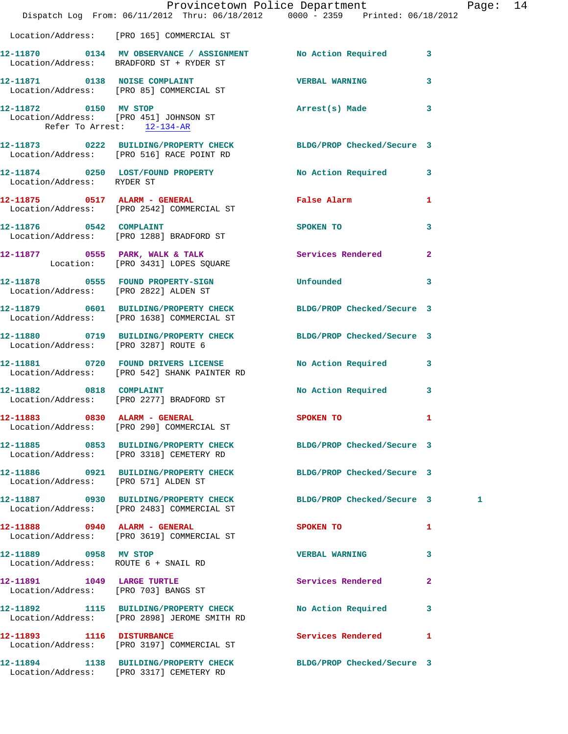|                                                               |                                                                                          | Provincetown Police Department Page: 14                                                                       |   |  |
|---------------------------------------------------------------|------------------------------------------------------------------------------------------|---------------------------------------------------------------------------------------------------------------|---|--|
|                                                               |                                                                                          | Dispatch Log From: 06/11/2012 Thru: 06/18/2012 0000 - 2359 Printed: 06/18/2012                                |   |  |
|                                                               | Location/Address: [PRO 165] COMMERCIAL ST                                                |                                                                                                               |   |  |
|                                                               | Location/Address: BRADFORD ST + RYDER ST                                                 | 12-11870 0134 MV OBSERVANCE / ASSIGNMENT No Action Required 3                                                 |   |  |
|                                                               | 12-11871 0138 NOISE COMPLAINT VERBAL WARNING<br>Location/Address: [PRO 85] COMMERCIAL ST | $\mathbf{3}$                                                                                                  |   |  |
| Refer To Arrest: 12-134-AR                                    | 12-11872 0150 MV STOP<br>Location/Address: [PRO 451] JOHNSON ST                          | Arrest(s) Made 3                                                                                              |   |  |
|                                                               |                                                                                          | 12-11873 0222 BUILDING/PROPERTY CHECK BLDG/PROP Checked/Secure 3<br>Location/Address: [PRO 516] RACE POINT RD |   |  |
| Location/Address: RYDER ST                                    |                                                                                          | 12-11874 0250 LOST/FOUND PROPERTY No Action Required 3                                                        |   |  |
|                                                               | 12-11875 0517 ALARM - GENERAL<br>Location/Address: [PRO 2542] COMMERCIAL ST              | False Alarm <b>Example 2018</b><br>$\mathbf{1}$                                                               |   |  |
|                                                               | 12-11876 0542 COMPLAINT<br>Location/Address: [PRO 1288] BRADFORD ST                      | SPOKEN TO<br>$\mathbf{3}$                                                                                     |   |  |
|                                                               |                                                                                          | 12-11877 0555 PARK, WALK & TALK Services Rendered 2<br>Location: [PRO 3431] LOPES SQUARE                      |   |  |
|                                                               | 12-11878 0555 FOUND PROPERTY-SIGN 000 Unfounded<br>Location/Address: [PRO 2822] ALDEN ST | $\mathbf{3}$                                                                                                  |   |  |
|                                                               | Location/Address: [PRO 1638] COMMERCIAL ST                                               | 12-11879 0601 BUILDING/PROPERTY CHECK BLDG/PROP Checked/Secure 3                                              |   |  |
|                                                               | Location/Address: [PRO 3287] ROUTE 6                                                     | 12-11880 0719 BUILDING/PROPERTY CHECK BLDG/PROP Checked/Secure 3                                              |   |  |
|                                                               | Location/Address: [PRO 542] SHANK PAINTER RD                                             | 12-11881 0720 FOUND DRIVERS LICENSE No Action Required 3                                                      |   |  |
|                                                               | 12-11882 0818 COMPLAINT<br>Location/Address: [PRO 2277] BRADFORD ST                      | No Action Required 3                                                                                          |   |  |
|                                                               | 12-11883 0830 ALARM - GENERAL<br>Location/Address: [PRO 290] COMMERCIAL ST               | SPOKEN TO                                                                                                     |   |  |
|                                                               | Location/Address: [PRO 3318] CEMETERY RD                                                 | 12-11885 0853 BUILDING/PROPERTY CHECK BLDG/PROP Checked/Secure 3                                              |   |  |
| Location/Address: [PRO 571] ALDEN ST                          | 12-11886 0921 BUILDING/PROPERTY CHECK                                                    | BLDG/PROP Checked/Secure 3                                                                                    |   |  |
|                                                               | Location/Address: [PRO 2483] COMMERCIAL ST                                               | 12-11887 0930 BUILDING/PROPERTY CHECK BLDG/PROP Checked/Secure 3                                              | 1 |  |
|                                                               | 12-11888 0940 ALARM - GENERAL<br>Location/Address: [PRO 3619] COMMERCIAL ST              | SPOKEN TO<br>1                                                                                                |   |  |
| 12-11889 0958 MV STOP<br>Location/Address: ROUTE 6 + SNAIL RD |                                                                                          | <b>VERBAL WARNING</b><br>3                                                                                    |   |  |
| 12-11891    1049    LARGE TURTLE                              | Location/Address: [PRO 703] BANGS ST                                                     | Services Rendered<br>$\mathbf{2}$                                                                             |   |  |
|                                                               | 12-11892 1115 BUILDING/PROPERTY CHECK<br>Location/Address: [PRO 2898] JEROME SMITH RD    | No Action Required<br>3                                                                                       |   |  |
| 12-11893 1116 DISTURBANCE                                     | Location/Address: [PRO 3197] COMMERCIAL ST                                               | Services Rendered<br>-1                                                                                       |   |  |
|                                                               | Location/Address: [PRO 3317] CEMETERY RD                                                 | 12-11894 1138 BUILDING/PROPERTY CHECK BLDG/PROP Checked/Secure 3                                              |   |  |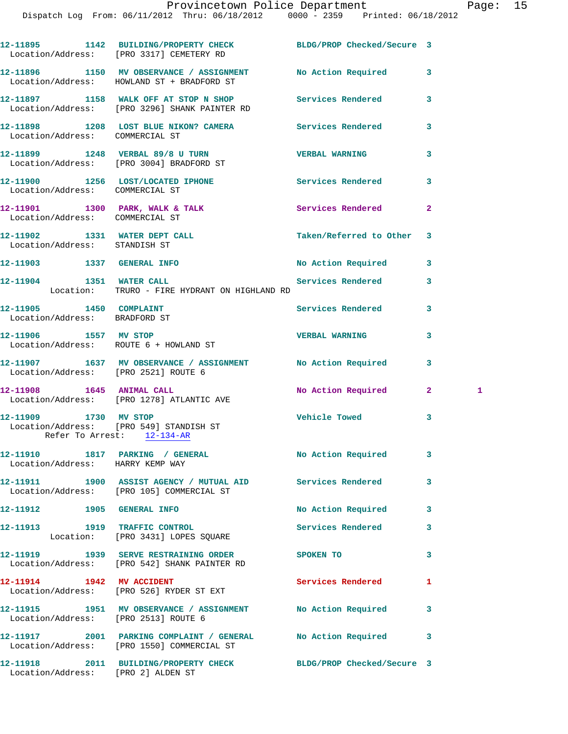|                                                              | 12-11895 1142 BUILDING/PROPERTY CHECK BLDG/PROP Checked/Secure 3<br>Location/Address: [PRO 3317] CEMETERY RD |                           |                |
|--------------------------------------------------------------|--------------------------------------------------------------------------------------------------------------|---------------------------|----------------|
|                                                              | 12-11896 1150 MV OBSERVANCE / ASSIGNMENT No Action Required<br>Location/Address: HOWLAND ST + BRADFORD ST    |                           | 3              |
|                                                              | 12-11897 1158 WALK OFF AT STOP N SHOP Services Rendered<br>Location/Address: [PRO 3296] SHANK PAINTER RD     |                           | 3              |
| Location/Address: COMMERCIAL ST                              | 12-11898 1208 LOST BLUE NIKON? CAMERA Services Rendered                                                      |                           | 3              |
|                                                              | 12-11899 1248 VERBAL 89/8 U TURN VERBAL WARNING<br>Location/Address: [PRO 3004] BRADFORD ST                  |                           | 3              |
| Location/Address: COMMERCIAL ST                              | 12-11900 1256 LOST/LOCATED IPHONE Services Rendered                                                          |                           | 3              |
| Location/Address: COMMERCIAL ST                              | 12-11901 1300 PARK, WALK & TALK 1999 Services Rendered                                                       |                           | $\overline{a}$ |
| Location/Address: STANDISH ST                                | 12-11902 1331 WATER DEPT CALL                                                                                | Taken/Referred to Other 3 |                |
|                                                              | 12-11903 1337 GENERAL INFO                                                                                   | No Action Required        | 3              |
|                                                              | 12-11904 1351 WATER CALL<br>Location: TRURO - FIRE HYDRANT ON HIGHLAND RD                                    | Services Rendered         | 3              |
| 12-11905   1450   COMPLAINT<br>Location/Address: BRADFORD ST |                                                                                                              | Services Rendered         | 3              |
|                                                              | 12-11906 1557 MV STOP<br>Location/Address: ROUTE 6 + HOWLAND ST                                              | <b>VERBAL WARNING</b>     | 3              |
|                                                              | 12-11907 1637 MV OBSERVANCE / ASSIGNMENT No Action Required<br>Location/Address: [PRO 2521] ROUTE 6          |                           | 3              |
|                                                              | 12-11908 1645 ANIMAL CALL<br>Location/Address: [PRO 1278] ATLANTIC AVE                                       | No Action Required 2      | $\mathbf{1}$   |
|                                                              | 12-11909 1730 MV STOP<br>Location/Address: [PRO 549] STANDISH ST<br>Refer To Arrest: 12-134-AR               | Vehicle Towed             | 3              |
| 12-11910<br>Location/Address: HARRY KEMP WAY                 | 1817 PARKING / GENERAL                                                                                       | No Action Required        | $\mathbf{3}$   |
|                                                              | 12-11911 1900 ASSIST AGENCY / MUTUAL AID Services Rendered<br>Location/Address: [PRO 105] COMMERCIAL ST      |                           | 3              |
| 12-11912 1905 GENERAL INFO                                   |                                                                                                              | No Action Required        | 3              |
|                                                              | 12-11913 1919 TRAFFIC CONTROL<br>Location: [PRO 3431] LOPES SQUARE                                           | <b>Services Rendered</b>  | 3              |
|                                                              | 12-11919 1939 SERVE RESTRAINING ORDER<br>Location/Address: [PRO 542] SHANK PAINTER RD                        | SPOKEN TO                 | 3              |
| 12-11914 1942 MV ACCIDENT                                    | Location/Address: [PRO 526] RYDER ST EXT                                                                     | Services Rendered         | 1              |
|                                                              | 12-11915 1951 MV OBSERVANCE / ASSIGNMENT No Action Required<br>Location/Address: [PRO 2513] ROUTE 6          |                           | 3              |
|                                                              | 12-11917 2001 PARKING COMPLAINT / GENERAL<br>Location/Address: [PRO 1550] COMMERCIAL ST                      | No Action Required        | 3              |
| Location/Address: [PRO 2] ALDEN ST                           | 12-11918 2011 BUILDING/PROPERTY CHECK BLDG/PROP Checked/Secure 3                                             |                           |                |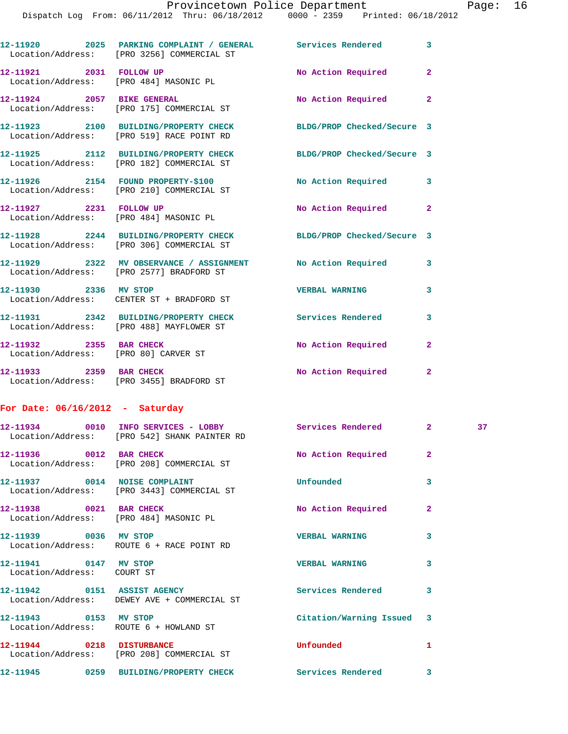|                                                     | Dispatch Log From: 06/11/2012 Thru: 06/18/2012 0000 - 2359 Printed: 06/18/2012                                |                         |                |    |
|-----------------------------------------------------|---------------------------------------------------------------------------------------------------------------|-------------------------|----------------|----|
|                                                     | 12-11920 2025 PARKING COMPLAINT / GENERAL Services Rendered<br>Location/Address: [PRO 3256] COMMERCIAL ST     |                         | $\overline{3}$ |    |
|                                                     | 12-11921 2031 FOLLOW UP<br>Location/Address: [PRO 484] MASONIC PL                                             | No Action Required      | $\overline{2}$ |    |
|                                                     | 12-11924 2057 BIKE GENERAL<br>Location/Address: [PRO 175] COMMERCIAL ST                                       | No Action Required 2    |                |    |
|                                                     | 12-11923 2100 BUILDING/PROPERTY CHECK BLDG/PROP Checked/Secure 3<br>Location/Address: [PRO 519] RACE POINT RD |                         |                |    |
|                                                     | 12-11925 2112 BUILDING/PROPERTY CHECK BLDG/PROP Checked/Secure 3<br>Location/Address: [PRO 182] COMMERCIAL ST |                         |                |    |
|                                                     | 12-11926 2154 FOUND PROPERTY-\$100 No Action Required<br>Location/Address: [PRO 210] COMMERCIAL ST            |                         | 3              |    |
|                                                     | 12-11927 2231 FOLLOW UP<br>Location/Address: [PRO 484] MASONIC PL                                             | No Action Required 2    |                |    |
|                                                     | 12-11928 2244 BUILDING/PROPERTY CHECK BLDG/PROP Checked/Secure 3<br>Location/Address: [PRO 306] COMMERCIAL ST |                         |                |    |
|                                                     | 12-11929 2322 MV OBSERVANCE / ASSIGNMENT No Action Required<br>Location/Address: [PRO 2577] BRADFORD ST       |                         | 3              |    |
| 12-11930 2336 MV STOP                               | Location/Address: CENTER ST + BRADFORD ST                                                                     | <b>VERBAL WARNING</b>   | 3              |    |
|                                                     | 12-11931 2342 BUILDING/PROPERTY CHECK Services Rendered<br>Location/Address: [PRO 488] MAYFLOWER ST           |                         | 3              |    |
|                                                     | 12-11932 2355 BAR CHECK<br>Location/Address: [PRO 80] CARVER ST                                               | No Action Required      | $\overline{2}$ |    |
|                                                     | 12-11933 2359 BAR CHECK<br>Location/Address: [PRO 3455] BRADFORD ST                                           | No Action Required      | $\mathbf{2}$   |    |
| For Date: $06/16/2012$ - Saturday                   |                                                                                                               |                         |                |    |
|                                                     | Location/Address: [PRO 542] SHANK PAINTER RD                                                                  |                         |                | 37 |
| 12-11936 0012 BAR CHECK                             | Location/Address: [PRO 208] COMMERCIAL ST                                                                     | No Action Required      | $\mathbf{2}$   |    |
|                                                     | 12-11937 0014 NOISE COMPLAINT<br>Location/Address: [PRO 3443] COMMERCIAL ST                                   | <b>Unfounded</b>        | 3              |    |
|                                                     | 12-11938 0021 BAR CHECK<br>Location/Address: [PRO 484] MASONIC PL                                             | No Action Required      | 2              |    |
| 12-11939 0036 MV STOP                               | Location/Address: ROUTE 6 + RACE POINT RD                                                                     | <b>VERBAL WARNING</b>   | 3              |    |
| 12-11941 0147 MV STOP<br>Location/Address: COURT ST |                                                                                                               | <b>VERBAL WARNING</b>   | 3              |    |
|                                                     | 12-11942 0151 ASSIST AGENCY<br>Location/Address: DEWEY AVE + COMMERCIAL ST                                    | Services Rendered       | 3              |    |
|                                                     | 12-11943 0153 MV STOP<br>Location/Address: ROUTE 6 + HOWLAND ST                                               | Citation/Warning Issued | 3              |    |
|                                                     | 12-11944 0218 DISTURBANCE<br>Location/Address: [PRO 208] COMMERCIAL ST                                        | Unfounded               | 1              |    |
|                                                     | 12-11945 0259 BUILDING/PROPERTY CHECK Services Rendered                                                       |                         | 3              |    |
|                                                     |                                                                                                               |                         |                |    |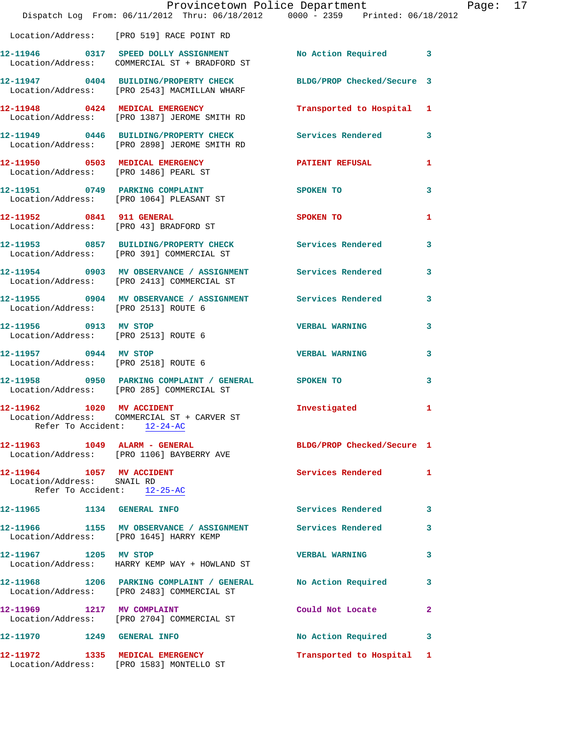|                                                         | Provincetown Police Department<br>Dispatch Log From: 06/11/2012 Thru: 06/18/2012 0000 - 2359 Printed: 06/18/2012     |                            |              |
|---------------------------------------------------------|----------------------------------------------------------------------------------------------------------------------|----------------------------|--------------|
|                                                         | Location/Address: [PRO 519] RACE POINT RD                                                                            |                            |              |
|                                                         | 12-11946   0317   SPEED DOLLY ASSIGNMENT   No Action Required   3<br>Location/Address:   COMMERCIAL ST + BRADFORD ST |                            |              |
|                                                         | 12-11947 0404 BUILDING/PROPERTY CHECK BLDG/PROP Checked/Secure 3<br>Location/Address: [PRO 2543] MACMILLAN WHARF     |                            |              |
|                                                         | 12-11948 0424 MEDICAL EMERGENCY<br>Location/Address: [PRO 1387] JEROME SMITH RD                                      | Transported to Hospital 1  |              |
|                                                         | 12-11949 0446 BUILDING/PROPERTY CHECK Services Rendered<br>Location/Address: [PRO 2898] JEROME SMITH RD              |                            | 3            |
|                                                         | 12-11950 0503 MEDICAL EMERGENCY PATIENT REFUSAL<br>Location/Address: [PRO 1486] PEARL ST                             |                            | 1            |
|                                                         | 12-11951 0749 PARKING COMPLAINT<br>Location/Address: [PRO 1064] PLEASANT ST                                          | SPOKEN TO                  | 3            |
|                                                         | 12-11952 0841 911 GENERAL<br>Location/Address: [PRO 43] BRADFORD ST                                                  | SPOKEN TO                  | $\mathbf{1}$ |
|                                                         | 12-11953 0857 BUILDING/PROPERTY CHECK Services Rendered<br>Location/Address: [PRO 391] COMMERCIAL ST                 |                            | 3            |
|                                                         | 12-11954 0903 MV OBSERVANCE / ASSIGNMENT Services Rendered<br>Location/Address: [PRO 2413] COMMERCIAL ST             |                            | 3            |
|                                                         | 12-11955 0904 MV OBSERVANCE / ASSIGNMENT Services Rendered<br>Location/Address: [PRO 2513] ROUTE 6                   |                            | 3            |
| 12-11956 0913 MV STOP                                   | Location/Address: [PRO 2513] ROUTE 6                                                                                 | <b>VERBAL WARNING</b>      | 3            |
|                                                         | 12-11957 0944 MV STOP<br>Location/Address: [PRO 2518] ROUTE 6                                                        | <b>VERBAL WARNING</b>      | 3            |
|                                                         | 12-11958 0950 PARKING COMPLAINT / GENERAL SPOKEN TO<br>Location/Address: [PRO 285] COMMERCIAL ST                     |                            | 3            |
|                                                         | 12-11962 1020 MV ACCIDENT<br>Location/Address: COMMERCIAL ST + CARVER ST<br>Refer To Accident: $12-24-AC$            | Investigated               | $\mathbf{1}$ |
| 12-11963 1049 ALARM - GENERAL                           | Location/Address: [PRO 1106] BAYBERRY AVE                                                                            | BLDG/PROP Checked/Secure 1 |              |
| 12-11964 1057 MV ACCIDENT<br>Location/Address: SNAIL RD | Refer To Accident: 12-25-AC                                                                                          | <b>Services Rendered</b>   | $\mathbf{1}$ |
| 12-11965 1134 GENERAL INFO                              |                                                                                                                      | <b>Services Rendered</b>   | 3            |
|                                                         | 12-11966 1155 MV OBSERVANCE / ASSIGNMENT<br>Location/Address: [PRO 1645] HARRY KEMP                                  | Services Rendered          | 3            |
| 12-11967 1205 MV STOP                                   | Location/Address: HARRY KEMP WAY + HOWLAND ST                                                                        | <b>VERBAL WARNING</b>      | 3            |
|                                                         | 12-11968 1206 PARKING COMPLAINT / GENERAL<br>Location/Address: [PRO 2483] COMMERCIAL ST                              | No Action Required         | 3            |
| 12-11969 1217 MV COMPLAINT                              | Location/Address: [PRO 2704] COMMERCIAL ST                                                                           | Could Not Locate           | 2            |
| 12-11970 1249 GENERAL INFO                              |                                                                                                                      | No Action Required 3       |              |
|                                                         | 12-11972 1335 MEDICAL EMERGENCY<br>Location/Address: [PRO 1583] MONTELLO ST                                          | Transported to Hospital 1  |              |

Page: 17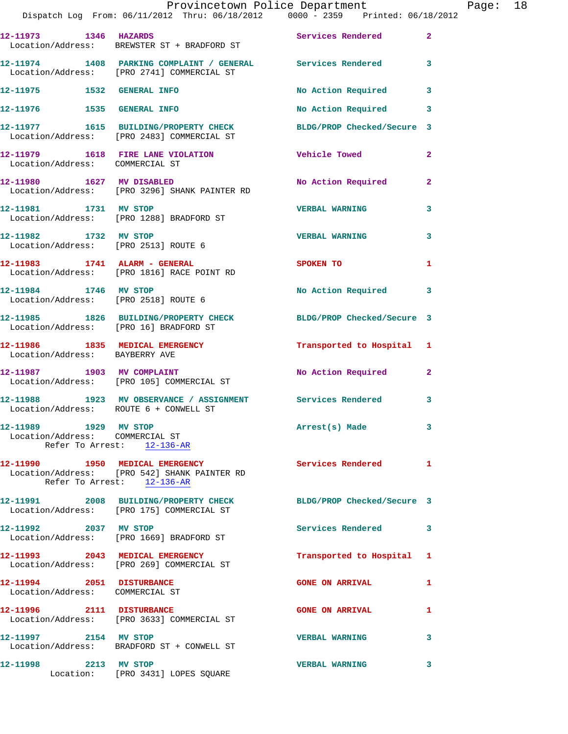|                               |      | Provincetown Police Department                                                      |                            |                | Page: | 18 |
|-------------------------------|------|-------------------------------------------------------------------------------------|----------------------------|----------------|-------|----|
|                               |      | Dispatch Log From: 06/11/2012 Thru: 06/18/2012 0000 - 2359 Printed: 06/18/2012      |                            |                |       |    |
| 12-11973<br>Location/Address: | 1346 | <b>HAZARDS</b><br>BREWSTER ST + BRADFORD ST                                         | Services Rendered          | $\overline{2}$ |       |    |
| 12-11974                      | 1408 | PARKING COMPLAINT /<br><b>GENERAL</b><br>Location/Address: [PRO 2741] COMMERCIAL ST | Services Rendered          |                |       |    |
| 12-11975                      | 1532 | <b>GENERAL INFO</b>                                                                 | No Action Required         | 3              |       |    |
| 12-11976                      | 1535 | <b>GENERAL INFO</b>                                                                 | No Action Required         |                |       |    |
| 12-11977<br>Location/Address: |      | 1615 BUILDING/PROPERTY CHECK<br>[PRO 2483] COMMERCIAL ST                            | BLDG/PROP Checked/Secure 3 |                |       |    |

**12-11979 1618 FIRE LANE VIOLATION Vehicle Towed 2**  Location/Address: COMMERCIAL ST

**12-11980 1627 MV DISABLED No Action Required 2**  Location/Address: [PRO 3296] SHANK PAINTER RD

**12-11981 1731 MV STOP VERBAL WARNING 3**  Location/Address: [PRO 1288] BRADFORD ST

**12-11982 1732 MV STOP VERBAL WARNING 3**  Location/Address: [PRO 2513] ROUTE 6

**12-11983 1741 ALARM - GENERAL SPOKEN TO 1**  Location/Address: [PRO 1816] RACE POINT RD

**12-11984 1746 MV STOP No Action Required 3**  Location/Address: [PRO 2518] ROUTE 6

**12-11985 1826 BUILDING/PROPERTY CHECK BLDG/PROP Checked/Secure 3**  Location/Address: [PRO 16] BRADFORD ST

**12-11986 1835 MEDICAL EMERGENCY Transported to Hospital 1**  Location/Address: BAYBERRY AVE

12-11987 1903 MV COMPLAINT **12-11987** No Action Required 2 Location/Address: [PRO 105] COMMERCIAL ST

**12-11988 1923 MV OBSERVANCE / ASSIGNMENT Services Rendered 3**  Location/Address: ROUTE 6 + CONWELL ST

**12-11989 1929 MV STOP Arrest(s) Made 3**  Location/Address: COMMERCIAL ST Refer To Arrest: 12-136-AR

**12-11990 1950 MEDICAL EMERGENCY Services Rendered 1**  Location/Address: [PRO 542] SHANK PAINTER RD Refer To Arrest: 12-136-AR

**12-11991 2008 BUILDING/PROPERTY CHECK BLDG/PROP Checked/Secure 3**  Location/Address: [PRO 175] COMMERCIAL ST

**12-11992 2037 MV STOP Services Rendered 3**  Location/Address: [PRO 1669] BRADFORD ST

**12-11993 2043 MEDICAL EMERGENCY Transported to Hospital 1**  Location/Address: [PRO 269] COMMERCIAL ST

**12-11994 2051 DISTURBANCE GONE ON ARRIVAL 1**  Location/Address: COMMERCIAL ST

**12-11996 2111 DISTURBANCE GONE ON ARRIVAL 1**  Location/Address: [PRO 3633] COMMERCIAL ST

**12-11997 2154 MV STOP VERBAL WARNING 3** 

Location/Address: BRADFORD ST + CONWELL ST

**12-11998 2213 MV STOP VERBAL WARNING 3**  Location: [PRO 3431] LOPES SQUARE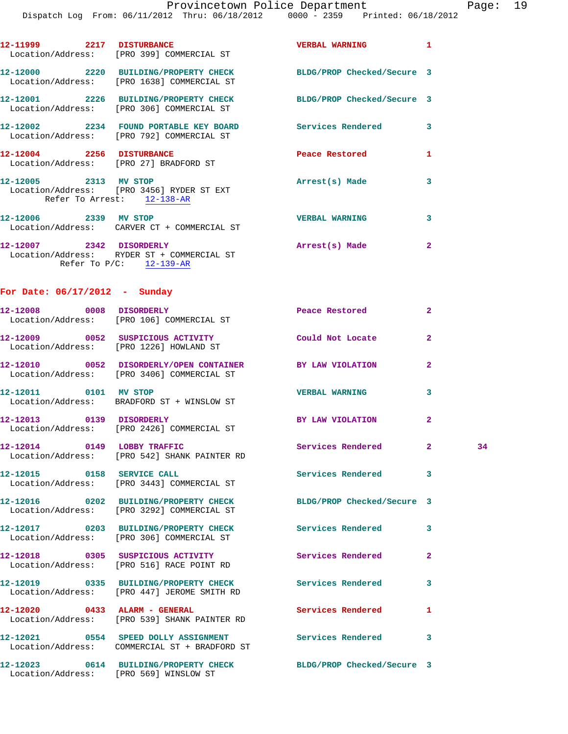| 12-11999  2217 DISTURBANCE | Location/Address: [PRO 399] COMMERCIAL ST                                           | <b>VERBAL WARNING</b>      | 1 |
|----------------------------|-------------------------------------------------------------------------------------|----------------------------|---|
|                            | 12-12000 2220 BUILDING/PROPERTY CHECK<br>Location/Address: [PRO 1638] COMMERCIAL ST | BLDG/PROP Checked/Secure 3 |   |
|                            | 12-12001 2226 BUILDING/PROPERTY CHECK<br>Location/Address: [PRO 306] COMMERCIAL ST  | BLDG/PROP Checked/Secure 3 |   |
|                            | 12-12002 2234 FOUND PORTABLE KEY BOARD<br>Location/Address: [PRO 792] COMMERCIAL ST | Services Rendered          | 3 |
| 12-12004 2256 DISTURBANCE  | Location/Address: [PRO 27] BRADFORD ST                                              | Peace Restored             | 1 |
| 12-12005 2313              | MV STOP<br>Location/Address: [PRO 3456] RYDER ST EXT<br>Refer To Arrest: 12-138-AR  | Arrest(s) Made             | 3 |

| 12-12006          | 2339 | MV STOP                   | <b>VERBAL WARNING</b> |  |
|-------------------|------|---------------------------|-----------------------|--|
| Location/Address: |      | CARVER CT + COMMERCIAL ST |                       |  |
| 12-12007          |      | 2342 DISORDERLY           | Arrest(s) Made        |  |
| Location/Address: |      | RYDER ST + COMMERCIAL ST  |                       |  |

Refer To  $P/C:$   $\frac{12-139-AR}{2}$ 

## **For Date: 06/17/2012 - Sunday**

|                               | 12-12008 0008 DISORDERLY<br>Location/Address: [PRO 106] COMMERCIAL ST                                                                     | Peace Restored and the Peace Restored | $\overline{2}$ |    |
|-------------------------------|-------------------------------------------------------------------------------------------------------------------------------------------|---------------------------------------|----------------|----|
|                               | 12-12009 0052 SUSPICIOUS ACTIVITY Could Not Locate<br>Location/Address: [PRO 1226] HOWLAND ST                                             |                                       | $\overline{2}$ |    |
|                               | 12-12010 0052 DISORDERLY/OPEN CONTAINER BY LAW VIOLATION<br>Location/Address: [PRO 3406] COMMERCIAL ST                                    |                                       | $\overline{2}$ |    |
|                               | 12-12011 0101 MV STOP<br>Location/Address: BRADFORD ST + WINSLOW ST                                                                       | <b>VERBAL WARNING</b>                 | 3              |    |
| 12-12013 0139 DISORDERLY      | Location/Address: [PRO 2426] COMMERCIAL ST                                                                                                | BY LAW VIOLATION                      | $\overline{2}$ |    |
|                               | 12-12014 0149 LOBBY TRAFFIC<br>Location/Address: [PRO 542] SHANK PAINTER RD                                                               | Services Rendered                     | $\mathbf{2}$   | 34 |
|                               | 12-12015 0158 SERVICE CALL<br>Location/Address: [PRO 3443] COMMERCIAL ST                                                                  | Services Rendered                     | 3              |    |
|                               | 12-12016 0202 BUILDING/PROPERTY CHECK BLDG/PROP Checked/Secure 3<br>Location/Address: [PRO 3292] COMMERCIAL ST                            |                                       |                |    |
|                               | 12-12017 0203 BUILDING/PROPERTY CHECK Services Rendered 3<br>Location/Address: [PRO 306] COMMERCIAL ST                                    |                                       |                |    |
|                               | 12-12018                0305         SUSPICIOUS ACTIVITY                   Services Rendered<br>Location/Address: [PRO 516] RACE POINT RD |                                       | $\mathbf{2}$   |    |
|                               | 12-12019 0335 BUILDING/PROPERTY CHECK Services Rendered<br>Location/Address: [PRO 447] JEROME SMITH RD                                    |                                       | 3              |    |
| 12-12020 0433 ALARM - GENERAL | Location/Address: [PRO 539] SHANK PAINTER RD                                                                                              | Services Rendered                     | 1              |    |
|                               | 12-12021 0554 SPEED DOLLY ASSIGNMENT Services Rendered<br>Location/Address: COMMERCIAL ST + BRADFORD ST                                   |                                       | 3              |    |
|                               | 12-12023 0614 BUILDING/PROPERTY CHECK BLDG/PROP Checked/Secure 3<br>Location/Address: [PRO 569] WINSLOW ST                                |                                       |                |    |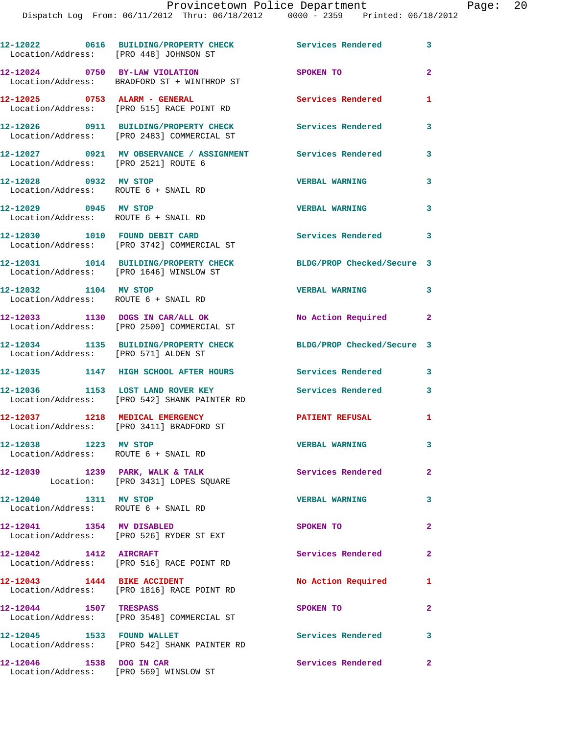Dispatch Log From: 06/11/2012 Thru: 06/18/2012 0000 - 2359 Printed: 06/18/2012

| Location/Address: [PRO 448] JOHNSON ST                        | 12-12022 0616 BUILDING/PROPERTY CHECK                                               | Services Rendered 3        |                |
|---------------------------------------------------------------|-------------------------------------------------------------------------------------|----------------------------|----------------|
|                                                               | 12-12024 0750 BY-LAW VIOLATION<br>Location/Address: BRADFORD ST + WINTHROP ST       | SPOKEN TO                  | $\overline{2}$ |
|                                                               | 12-12025 0753 ALARM - GENERAL<br>Location/Address: [PRO 515] RACE POINT RD          | Services Rendered          | 1              |
|                                                               | 12-12026 0911 BUILDING/PROPERTY CHECK<br>Location/Address: [PRO 2483] COMMERCIAL ST | <b>Services Rendered</b>   | 3              |
| Location/Address: [PRO 2521] ROUTE 6                          | 12-12027 0921 MV OBSERVANCE / ASSIGNMENT Services Rendered                          |                            | 3              |
| 12-12028 0932 MV STOP<br>Location/Address: ROUTE 6 + SNAIL RD |                                                                                     | <b>VERBAL WARNING</b>      | 3              |
| 12-12029 0945 MV STOP<br>Location/Address: ROUTE 6 + SNAIL RD |                                                                                     | <b>VERBAL WARNING</b>      | 3              |
|                                                               | 12-12030 1010 FOUND DEBIT CARD<br>Location/Address: [PRO 3742] COMMERCIAL ST        | Services Rendered 3        |                |
|                                                               | 12-12031 1014 BUILDING/PROPERTY CHECK<br>Location/Address: [PRO 1646] WINSLOW ST    | BLDG/PROP Checked/Secure 3 |                |
| 12-12032 1104 MV STOP<br>Location/Address: ROUTE 6 + SNAIL RD |                                                                                     | <b>VERBAL WARNING</b>      | 3              |
|                                                               | 12-12033 1130 DOGS IN CAR/ALL OK<br>Location/Address: [PRO 2500] COMMERCIAL ST      | No Action Required 2       |                |
| Location/Address: [PRO 571] ALDEN ST                          | 12-12034 1135 BUILDING/PROPERTY CHECK                                               | BLDG/PROP Checked/Secure 3 |                |
|                                                               | 12-12035 1147 HIGH SCHOOL AFTER HOURS                                               | Services Rendered          | 3              |
|                                                               | 12-12036 1153 LOST LAND ROVER KEY<br>Location/Address: [PRO 542] SHANK PAINTER RD   | Services Rendered          | 3              |
|                                                               | 12-12037 1218 MEDICAL EMERGENCY<br>Location/Address: [PRO 3411] BRADFORD ST         | <b>PATIENT REFUSAL</b>     | 1              |
| 12-12038 1223 MV STOP<br>Location/Address: ROUTE 6 + SNAIL RD |                                                                                     | <b>VERBAL WARNING</b>      |                |
|                                                               | 12-12039 1239 PARK, WALK & TALK<br>Location: [PRO 3431] LOPES SQUARE                | Services Rendered          | $\overline{2}$ |
| 12-12040 1311 MV STOP                                         | Location/Address: ROUTE 6 + SNAIL RD                                                | <b>VERBAL WARNING</b>      | 3              |
| 12-12041 1354 MV DISABLED                                     | Location/Address: [PRO 526] RYDER ST EXT                                            | SPOKEN TO                  | $\overline{2}$ |
| 12-12042   1412   AIRCRAFT                                    | Location/Address: [PRO 516] RACE POINT RD                                           | <b>Services Rendered</b>   | $\overline{2}$ |
|                                                               | 12-12043 1444 BIKE ACCIDENT<br>Location/Address: [PRO 1816] RACE POINT RD           | No Action Required         | 1              |
| 12-12044 1507 TRESPASS                                        | Location/Address: [PRO 3548] COMMERCIAL ST                                          | SPOKEN TO                  | $\mathbf{2}$   |
| 12-12045 1533 FOUND WALLET                                    | Location/Address: [PRO 542] SHANK PAINTER RD                                        | <b>Services Rendered</b>   | 3              |
| 12-12046 1538 DOG IN CAR                                      | Location/Address: [PRO 569] WINSLOW ST                                              | Services Rendered          | $\mathbf{2}$   |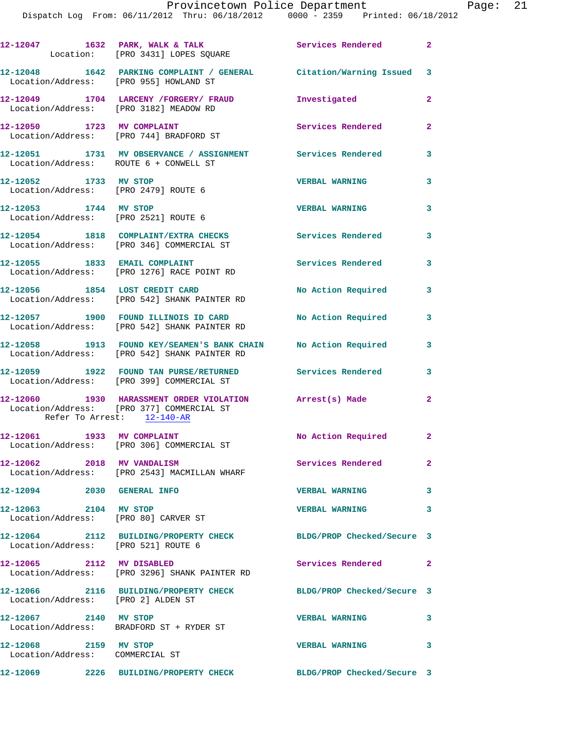|                                                               | Location: [PRO 3431] LOPES SQUARE                                                                              |                            |                         |
|---------------------------------------------------------------|----------------------------------------------------------------------------------------------------------------|----------------------------|-------------------------|
| Location/Address: [PRO 955] HOWLAND ST                        | 12-12048 1642 PARKING COMPLAINT / GENERAL Citation/Warning Issued 3                                            |                            |                         |
| Location/Address: [PRO 3182] MEADOW RD                        | 12-12049 1704 LARCENY /FORGERY/ FRAUD 1nvestigated                                                             |                            | $\mathbf{2}$            |
| 12-12050 1723 MV COMPLAINT                                    | Location/Address: [PRO 744] BRADFORD ST                                                                        | Services Rendered          | $\mathbf{2}$            |
| Location/Address: ROUTE 6 + CONWELL ST                        | 12-12051 1731 MV OBSERVANCE / ASSIGNMENT Services Rendered                                                     |                            | 3                       |
| 12-12052 1733 MV STOP                                         | Location/Address: [PRO 2479] ROUTE 6                                                                           | <b>VERBAL WARNING</b>      | 3                       |
| 12-12053 1744 MV STOP                                         | Location/Address: [PRO 2521] ROUTE 6                                                                           | <b>VERBAL WARNING</b>      | 3                       |
|                                                               | 12-12054 1818 COMPLAINT/EXTRA CHECKS Services Rendered<br>Location/Address: [PRO 346] COMMERCIAL ST            |                            | 3                       |
|                                                               | 12-12055 1833 EMAIL COMPLAINT<br>Location/Address: [PRO 1276] RACE POINT RD                                    | <b>Services Rendered</b>   | $\mathbf{3}$            |
|                                                               | 12-12056 1854 LOST CREDIT CARD<br>Location/Address: [PRO 542] SHANK PAINTER RD                                 | No Action Required         | $\overline{\mathbf{3}}$ |
|                                                               | 12-12057 1900 FOUND ILLINOIS ID CARD No Action Required<br>Location/Address: [PRO 542] SHANK PAINTER RD        |                            | 3                       |
|                                                               | 12-12058 1913 FOUND KEY/SEAMEN'S BANK CHAIN No Action Required<br>Location/Address: [PRO 542] SHANK PAINTER RD |                            | 3                       |
|                                                               | 12-12059 1922 FOUND TAN PURSE/RETURNED Services Rendered<br>Location/Address: [PRO 399] COMMERCIAL ST          |                            | $\mathbf{3}$            |
| Refer To Arrest: 12-140-AR                                    | 12-12060 1930 HARASSMENT ORDER VIOLATION Arrest(s) Made<br>Location/Address: [PRO 377] COMMERCIAL ST           |                            | $\mathbf{2}$            |
|                                                               | 12-12061 1933 MV COMPLAINT<br>Location/Address: [PRO 306] COMMERCIAL ST                                        | No Action Required 2       |                         |
| 12-12062 2018 MV VANDALISM                                    | Location/Address: [PRO 2543] MACMILLAN WHARF                                                                   | Services Rendered          | $\mathbf{2}^-$          |
| 12-12094 2030 GENERAL INFO                                    |                                                                                                                | <b>VERBAL WARNING</b>      | 3                       |
| 12-12063 2104 MV STOP<br>Location/Address: [PRO 80] CARVER ST |                                                                                                                | <b>VERBAL WARNING</b>      | 3                       |
| Location/Address: [PRO 521] ROUTE 6                           | 12-12064 2112 BUILDING/PROPERTY CHECK                                                                          | BLDG/PROP Checked/Secure 3 |                         |
| 12-12065 2112 MV DISABLED                                     | Location/Address: [PRO 3296] SHANK PAINTER RD                                                                  | Services Rendered          | $\mathbf{2}$            |
| Location/Address: [PRO 2] ALDEN ST                            | 12-12066 2116 BUILDING/PROPERTY CHECK                                                                          | BLDG/PROP Checked/Secure 3 |                         |
| 12-12067 2140 MV STOP                                         | Location/Address: BRADFORD ST + RYDER ST                                                                       | <b>VERBAL WARNING</b>      | 3                       |
| 12-12068 2159 MV STOP<br>Location/Address: COMMERCIAL ST      |                                                                                                                | <b>VERBAL WARNING</b>      | 3                       |
|                                                               | 12-12069 2226 BUILDING/PROPERTY CHECK BLDG/PROP Checked/Secure 3                                               |                            |                         |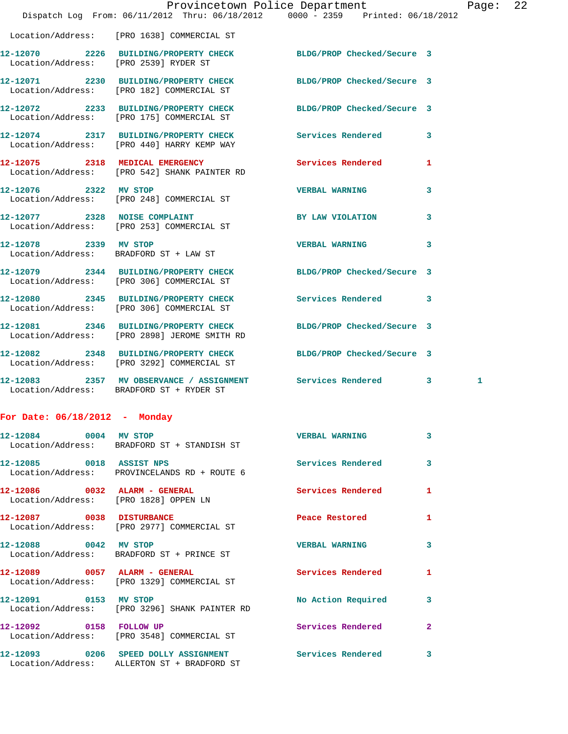|                                                                        |                                                                                                                  | Provincetown Police Department |   | Page: 22 |  |
|------------------------------------------------------------------------|------------------------------------------------------------------------------------------------------------------|--------------------------------|---|----------|--|
|                                                                        | Dispatch Log From: 06/11/2012 Thru: 06/18/2012 0000 - 2359 Printed: 06/18/2012                                   |                                |   |          |  |
|                                                                        | Location/Address: [PRO 1638] COMMERCIAL ST                                                                       |                                |   |          |  |
|                                                                        | 12-12070 2226 BUILDING/PROPERTY CHECK BLDG/PROP Checked/Secure 3<br>Location/Address: [PRO 2539] RYDER ST        |                                |   |          |  |
|                                                                        | 12-12071 2230 BUILDING/PROPERTY CHECK BLDG/PROP Checked/Secure 3<br>Location/Address: [PRO 182] COMMERCIAL ST    |                                |   |          |  |
|                                                                        | 12-12072 2233 BUILDING/PROPERTY CHECK BLDG/PROP Checked/Secure 3<br>Location/Address: [PRO 175] COMMERCIAL ST    |                                |   |          |  |
|                                                                        | 12-12074 2317 BUILDING/PROPERTY CHECK Services Rendered 3<br>Location/Address: [PRO 440] HARRY KEMP WAY          |                                |   |          |  |
|                                                                        | 12-12075 2318 MEDICAL EMERGENCY<br>Location/Address: [PRO 542] SHANK PAINTER RD                                  | Services Rendered              | 1 |          |  |
| 12-12076 2322 MV STOP                                                  | Location/Address: [PRO 248] COMMERCIAL ST                                                                        | <b>VERBAL WARNING</b>          | 3 |          |  |
|                                                                        | 12-12077 2328 NOISE COMPLAINT BY LAW VIOLATION<br>Location/Address: [PRO 253] COMMERCIAL ST                      |                                | 3 |          |  |
| 12-12078 2339 MV STOP                                                  | Location/Address: BRADFORD ST + LAW ST                                                                           | VERBAL WARNING 3               |   |          |  |
|                                                                        | 12-12079 2344 BUILDING/PROPERTY CHECK BLDG/PROP Checked/Secure 3<br>Location/Address: [PRO 306] COMMERCIAL ST    |                                |   |          |  |
|                                                                        | 12-12080 2345 BUILDING/PROPERTY CHECK<br>Location/Address: [PRO 306] COMMERCIAL ST                               | Services Rendered 3            |   |          |  |
|                                                                        | 12-12081 2346 BUILDING/PROPERTY CHECK BLDG/PROP Checked/Secure 3<br>Location/Address: [PRO 2898] JEROME SMITH RD |                                |   |          |  |
|                                                                        | 12-12082 2348 BUILDING/PROPERTY CHECK BLDG/PROP Checked/Secure 3<br>Location/Address: [PRO 3292] COMMERCIAL ST   |                                |   |          |  |
|                                                                        | 12-12083 2357 MV OBSERVANCE / ASSIGNMENT Services Rendered 3<br>Location/Address: BRADFORD ST + RYDER ST         |                                |   | 1        |  |
| For Date: $06/18/2012$ - Monday                                        |                                                                                                                  |                                |   |          |  |
| 12-12084 0004 MV STOP                                                  | Location/Address: BRADFORD ST + STANDISH ST                                                                      | <b>VERBAL WARNING</b>          | 3 |          |  |
| 12-12085 0018 ASSIST NPS                                               | Location/Address: PROVINCELANDS RD + ROUTE 6                                                                     | Services Rendered              | 3 |          |  |
| 12-12086 0032 ALARM - GENERAL<br>Location/Address: [PRO 1828] OPPEN LN |                                                                                                                  | Services Rendered              | 1 |          |  |
| 12-12087 0038 DISTURBANCE                                              | Location/Address: [PRO 2977] COMMERCIAL ST                                                                       | Peace Restored                 | 1 |          |  |
| 12-12088 0042 MV STOP                                                  | Location/Address: BRADFORD ST + PRINCE ST                                                                        | <b>VERBAL WARNING</b>          | 3 |          |  |
| 12-12089 0057 ALARM - GENERAL                                          | Location/Address: [PRO 1329] COMMERCIAL ST                                                                       | Services Rendered              | 1 |          |  |
|                                                                        |                                                                                                                  | No Action Required             | 3 |          |  |

 Location/Address: [PRO 3296] SHANK PAINTER RD **12-12092 0158 FOLLOW UP Services Rendered 2**  Location/Address: [PRO 3548] COMMERCIAL ST

**12-12093 0206 SPEED DOLLY ASSIGNMENT Services Rendered 3**  Location/Address: ALLERTON ST + BRADFORD ST